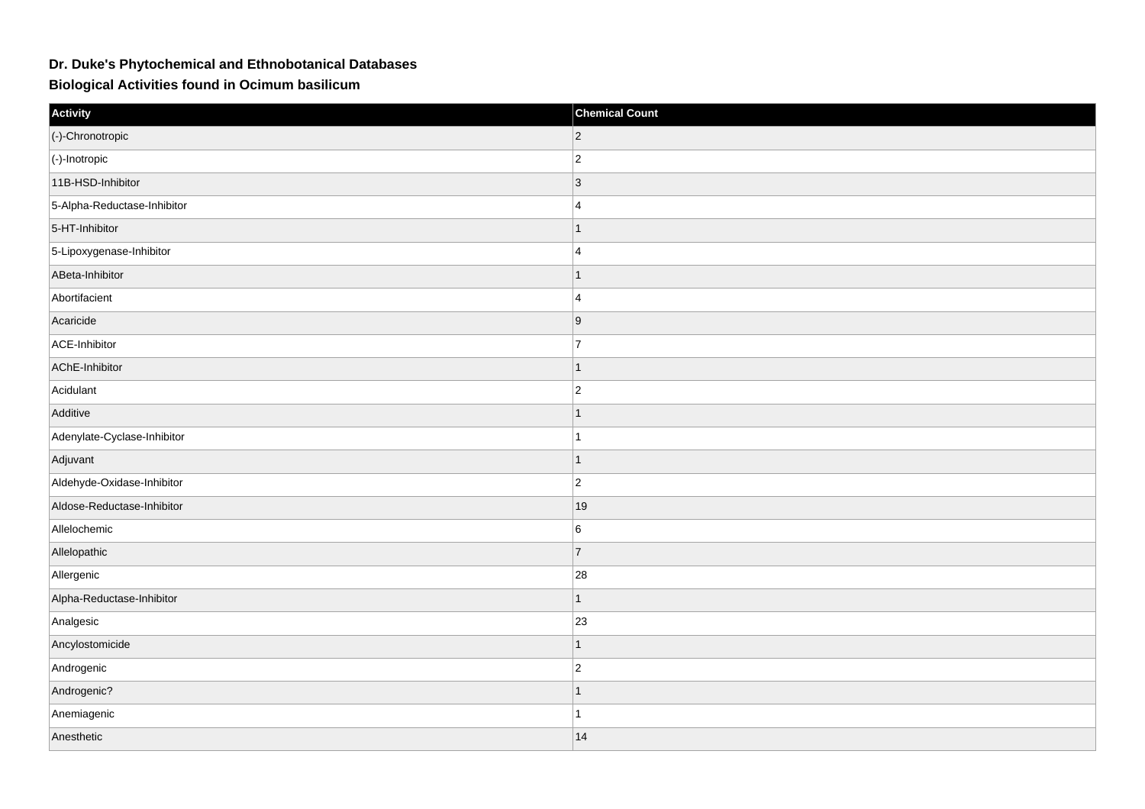## **Dr. Duke's Phytochemical and Ethnobotanical Databases**

**Biological Activities found in Ocimum basilicum**

| Activity                    | <b>Chemical Count</b> |
|-----------------------------|-----------------------|
| (-)-Chronotropic            | $ 2\rangle$           |
| $\vert$ (-)-Inotropic       | $ 2\rangle$           |
| 11B-HSD-Inhibitor           | 3                     |
| 5-Alpha-Reductase-Inhibitor | $\overline{4}$        |
| 5-HT-Inhibitor              | $\overline{1}$        |
| 5-Lipoxygenase-Inhibitor    | $\overline{4}$        |
| ABeta-Inhibitor             | 1                     |
| Abortifacient               | $\overline{4}$        |
| Acaricide                   | 9                     |
| ACE-Inhibitor               | $\overline{7}$        |
| AChE-Inhibitor              | $\overline{1}$        |
| Acidulant                   | $ 2\rangle$           |
| Additive                    | 1                     |
| Adenylate-Cyclase-Inhibitor | 1                     |
| Adjuvant                    | 1                     |
| Aldehyde-Oxidase-Inhibitor  | $ 2\rangle$           |
| Aldose-Reductase-Inhibitor  | 19                    |
| Allelochemic                | 6                     |
| Allelopathic                | 7                     |
| Allergenic                  | 28                    |
| Alpha-Reductase-Inhibitor   | 1                     |
| Analgesic                   | 23                    |
| Ancylostomicide             | 1                     |
| Androgenic                  | $ 2\rangle$           |
| Androgenic?                 | $\mathbf{1}$          |
| Anemiagenic                 | 1                     |
| Anesthetic                  | 14                    |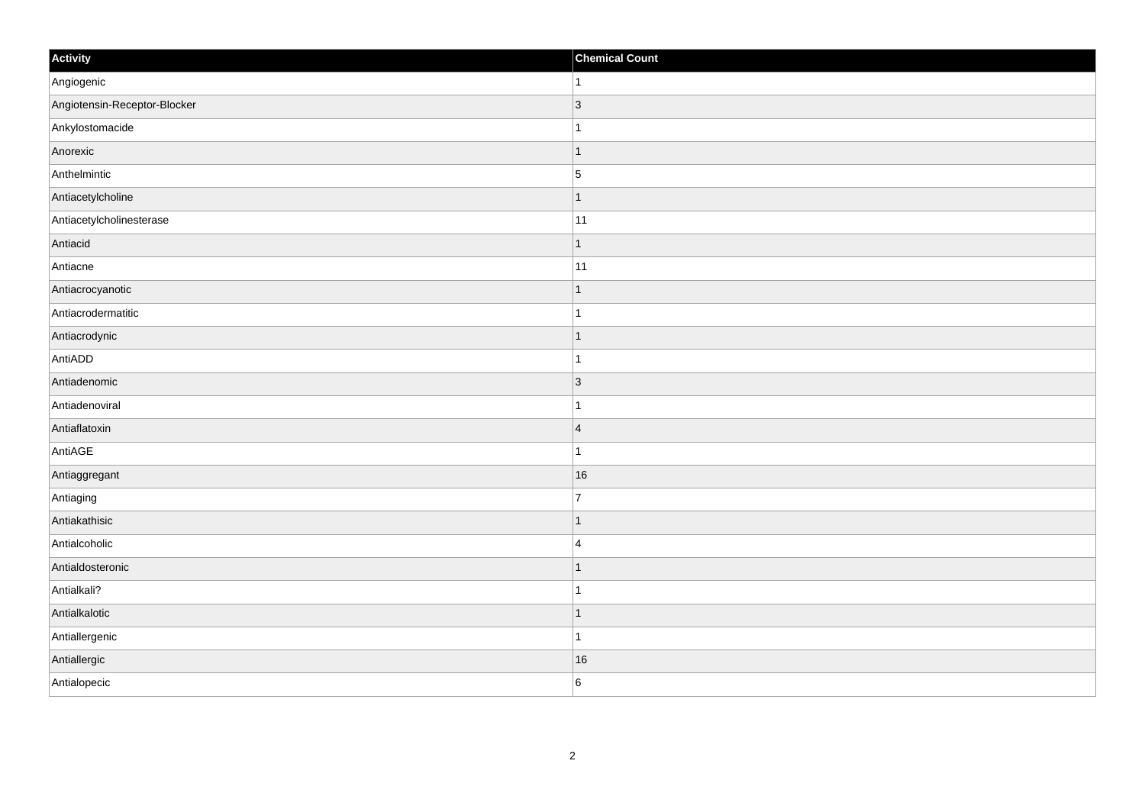| Activity                     | <b>Chemical Count</b> |
|------------------------------|-----------------------|
| Angiogenic                   | $\vert$ 1             |
| Angiotensin-Receptor-Blocker | $ 3\rangle$           |
| Ankylostomacide              |                       |
| Anorexic                     | $\mathbf 1$           |
| Anthelmintic                 | $\overline{5}$        |
| Antiacetylcholine            | $\mathbf 1$           |
| Antiacetylcholinesterase     | 11                    |
| Antiacid                     | $\mathbf 1$           |
| Antiacne                     | 11                    |
| Antiacrocyanotic             | $\overline{1}$        |
| Antiacrodermatitic           | $\overline{1}$        |
| Antiacrodynic                | $\mathbf 1$           |
| AntiADD                      | $\mathbf{1}$          |
| Antiadenomic                 | 3                     |
| Antiadenoviral               |                       |
| Antiaflatoxin                | $\overline{4}$        |
| AntiAGE                      | $\mathbf{1}$          |
| Antiaggregant                | 16                    |
| Antiaging                    | $\overline{7}$        |
| Antiakathisic                | $\mathbf 1$           |
| Antialcoholic                | $\overline{4}$        |
| Antialdosteronic             | $\mathbf 1$           |
| Antialkali?                  | 1                     |
| Antialkalotic                | $\mathbf 1$           |
| Antiallergenic               | $\mathbf{1}$          |
| Antiallergic                 | 16                    |
| Antialopecic                 | 6                     |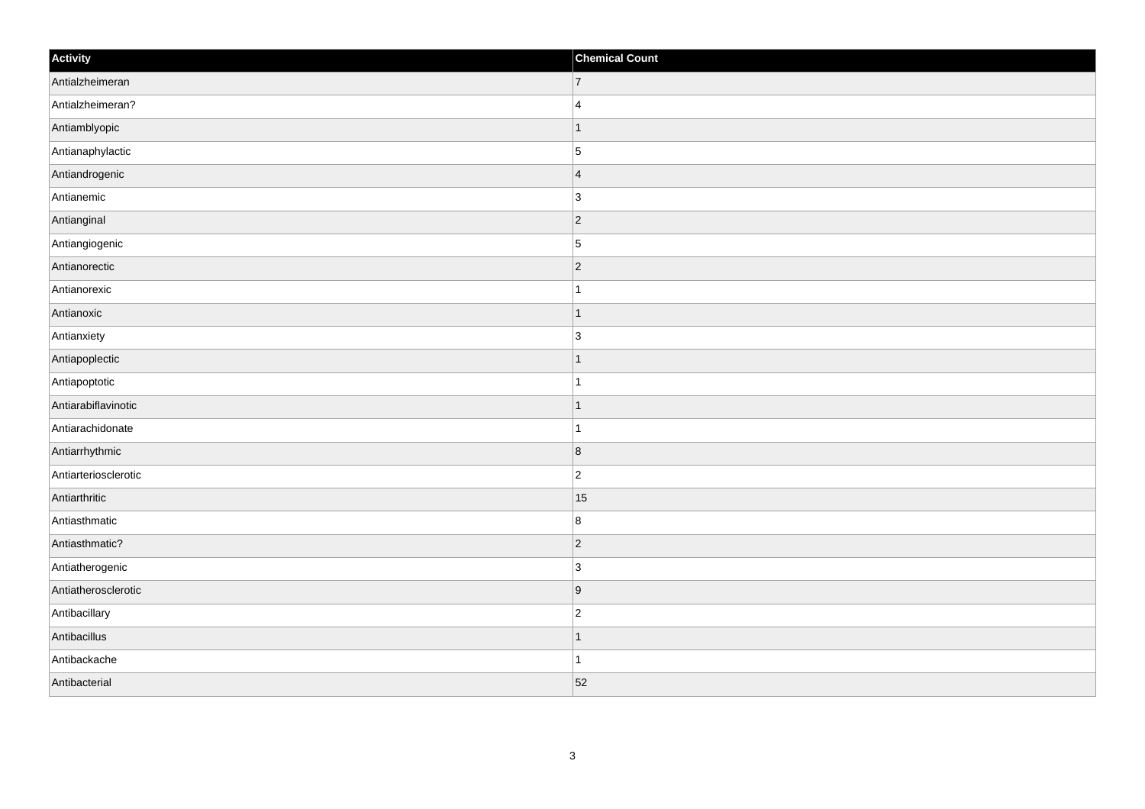| Activity             | <b>Chemical Count</b> |
|----------------------|-----------------------|
| Antialzheimeran      | $\vert$ 7             |
| Antialzheimeran?     | $\vert$ 4             |
| Antiamblyopic        | $\mathbf{1}$          |
| Antianaphylactic     | 5                     |
| Antiandrogenic       | 4                     |
| Antianemic           | $\vert$ 3             |
| Antianginal          | $ 2\rangle$           |
| Antiangiogenic       | $\overline{5}$        |
| Antianorectic        | $ 2\rangle$           |
| Antianorexic         | $\mathbf{1}$          |
| Antianoxic           | $\vert$ 1             |
| Antianxiety          | $\vert$ 3             |
| Antiapoplectic       | $\vert$ 1             |
| Antiapoptotic        | $\vert$ 1             |
| Antiarabiflavinotic  | $\vert$ 1             |
| Antiarachidonate     | $\mathbf{1}$          |
| Antiarrhythmic       | $\overline{8}$        |
| Antiarteriosclerotic | $ 2\rangle$           |
| Antiarthritic        | 15                    |
| Antiasthmatic        | 8                     |
| Antiasthmatic?       | $ 2\rangle$           |
| Antiatherogenic      | $ 3\rangle$           |
| Antiatherosclerotic  | 9                     |
| Antibacillary        | $ 2\rangle$           |
| Antibacillus         | $\vert$ 1             |
| Antibackache         | $\mathbf{1}$          |
| Antibacterial        | 52                    |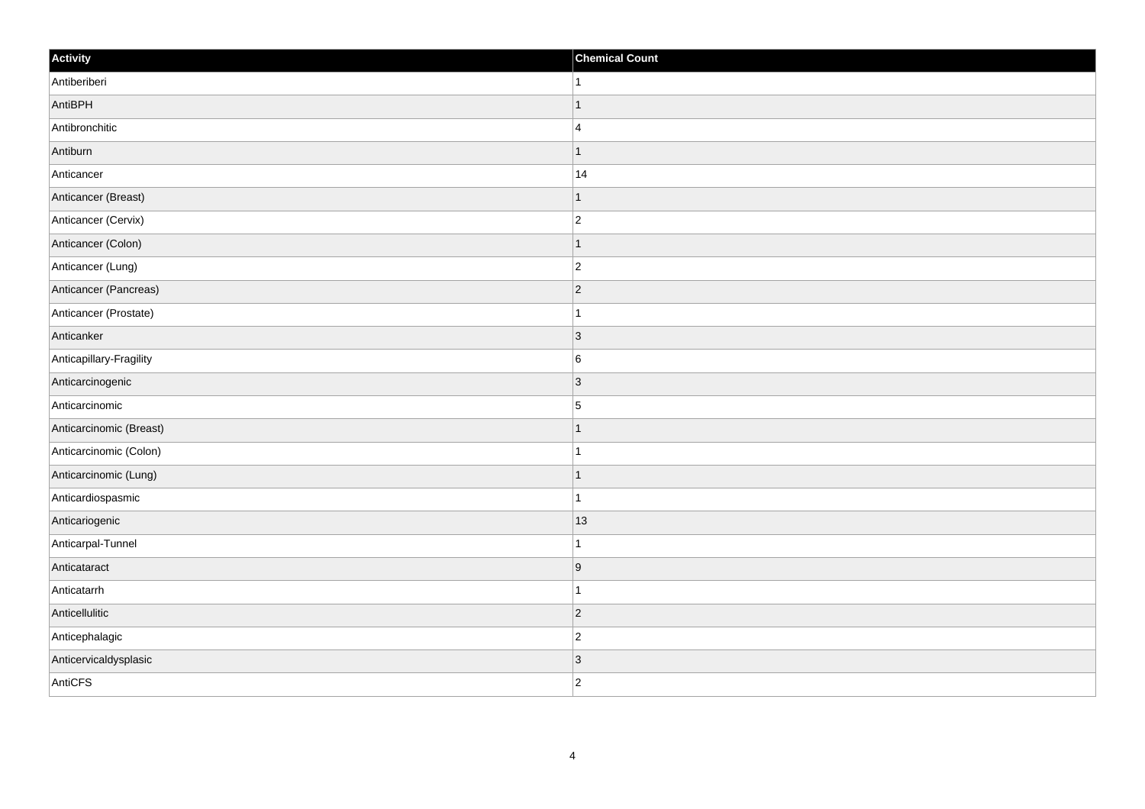| Activity                | <b>Chemical Count</b> |
|-------------------------|-----------------------|
| Antiberiberi            | $\mathbf{1}$          |
| AntiBPH                 | $\mathbf 1$           |
| Antibronchitic          | $\overline{4}$        |
| Antiburn                | $\mathbf{1}$          |
| Anticancer              | 14                    |
| Anticancer (Breast)     |                       |
| Anticancer (Cervix)     | $\overline{c}$        |
| Anticancer (Colon)      | 1                     |
| Anticancer (Lung)       | $ 2\rangle$           |
| Anticancer (Pancreas)   | $ 2\rangle$           |
| Anticancer (Prostate)   | 1                     |
| Anticanker              | 3                     |
| Anticapillary-Fragility | $6\phantom{.}6$       |
| Anticarcinogenic        | 3                     |
| Anticarcinomic          | 5                     |
| Anticarcinomic (Breast) | $\mathbf 1$           |
| Anticarcinomic (Colon)  | 1                     |
| Anticarcinomic (Lung)   | $\mathbf 1$           |
| Anticardiospasmic       | $\mathbf{1}$          |
| Anticariogenic          | 13                    |
| Anticarpal-Tunnel       | $\mathbf 1$           |
| Anticataract            | 9                     |
| Anticatarrh             | 1                     |
| Anticellulitic          | $ 2\rangle$           |
| Anticephalagic          | $\overline{c}$        |
| Anticervicaldysplasic   | 3                     |
| AntiCFS                 | $ 2\rangle$           |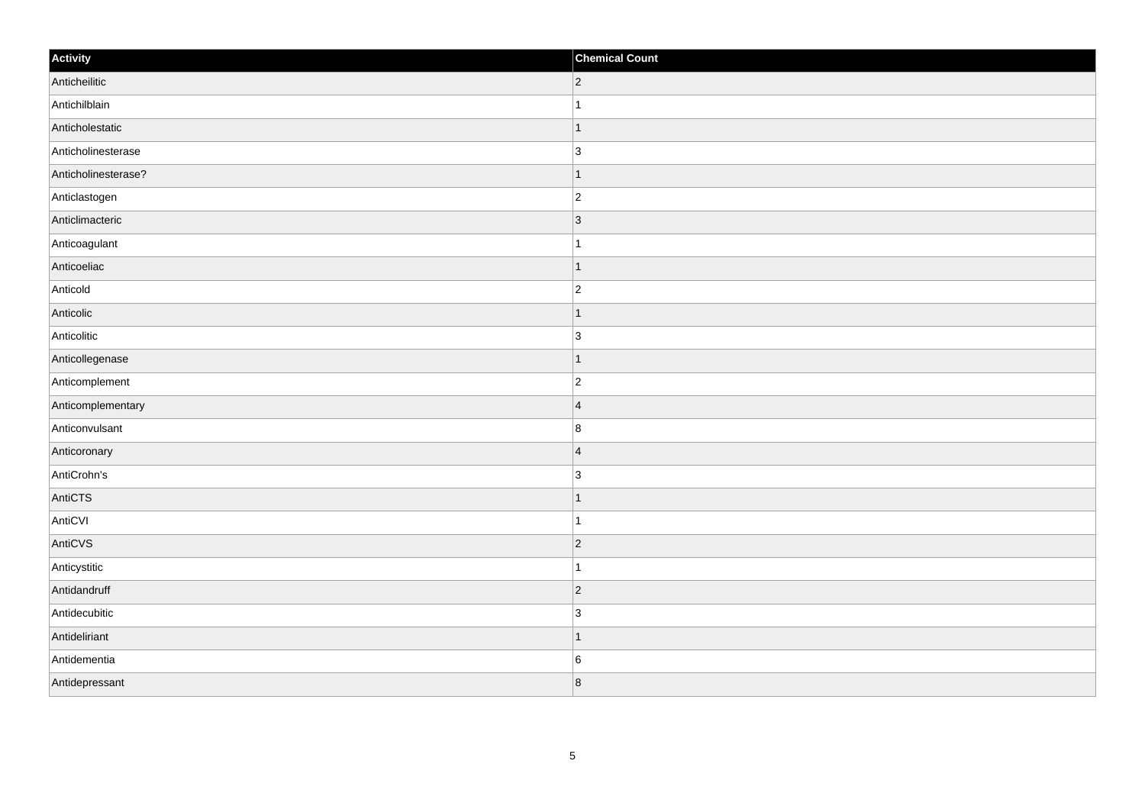| Activity            | <b>Chemical Count</b>    |
|---------------------|--------------------------|
| Anticheilitic       | $ 2\rangle$              |
| Antichilblain       |                          |
| Anticholestatic     | $\overline{\phantom{a}}$ |
| Anticholinesterase  | $\overline{3}$           |
| Anticholinesterase? | -1                       |
| Anticlastogen       | $\vert$ 2                |
| Anticlimacteric     | $ 3\rangle$              |
| Anticoagulant       | 1                        |
| Anticoeliac         |                          |
| Anticold            | $\overline{c}$           |
| Anticolic           |                          |
| Anticolitic         | $\overline{3}$           |
| Anticollegenase     | $\vert$ 1                |
| Anticomplement      | $\overline{2}$           |
| Anticomplementary   | $\vert 4 \vert$          |
| Anticonvulsant      | $\boldsymbol{8}$         |
| Anticoronary        | $\overline{4}$           |
| AntiCrohn's         | $\overline{3}$           |
| AntiCTS             | $\mathbf 1$              |
| AntiCVI             | 1                        |
| AntiCVS             | $ 2\rangle$              |
| Anticystitic        | 1                        |
| Antidandruff        | $ 2\rangle$              |
| Antidecubitic       | 3                        |
| Antideliriant       | $\overline{\phantom{a}}$ |
| Antidementia        | 6                        |
| Antidepressant      | 8                        |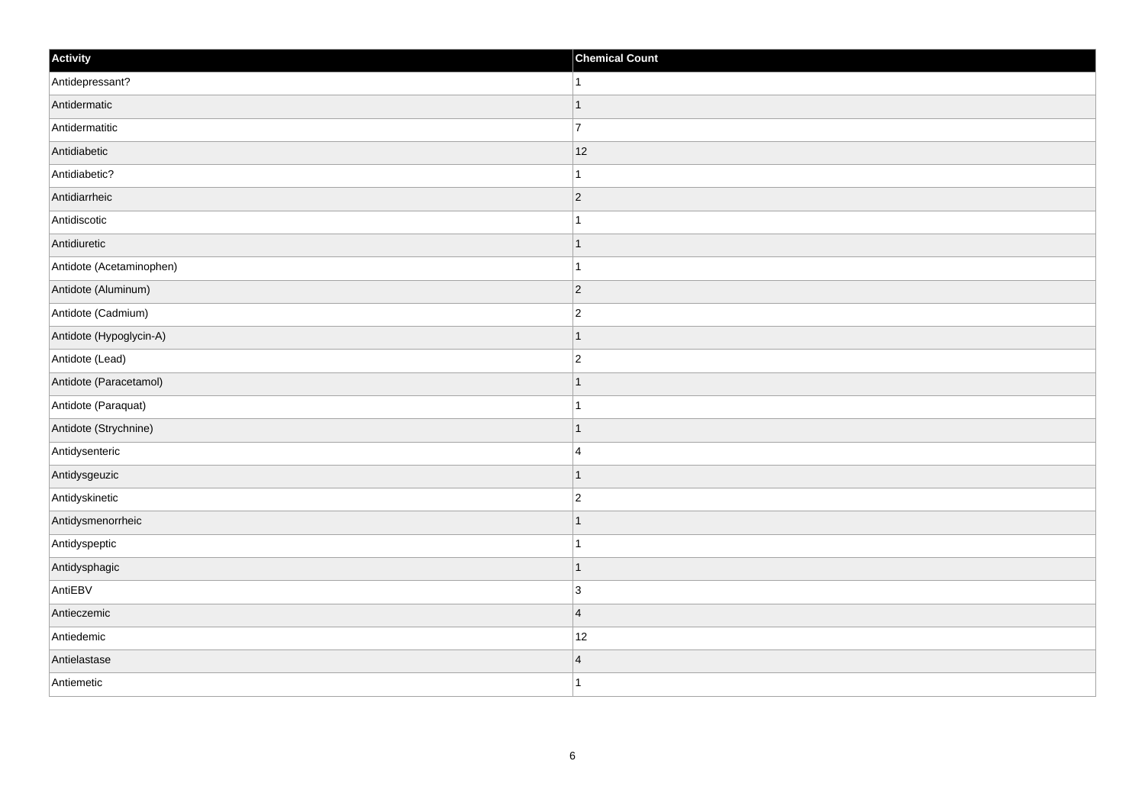| Activity                 | <b>Chemical Count</b> |
|--------------------------|-----------------------|
| Antidepressant?          | $\mathbf{1}$          |
| Antidermatic             | $\mathbf{1}$          |
| Antidermatitic           | 17                    |
| Antidiabetic             | 12                    |
| Antidiabetic?            | $\mathbf{1}$          |
| Antidiarrheic            | $ 2\rangle$           |
| Antidiscotic             | $\mathbf{1}$          |
| Antidiuretic             | $\mathbf{1}$          |
| Antidote (Acetaminophen) | $\mathbf{1}$          |
| Antidote (Aluminum)      | $ 2\rangle$           |
| Antidote (Cadmium)       | $ 2\rangle$           |
| Antidote (Hypoglycin-A)  | $\mathbf{1}$          |
| Antidote (Lead)          | $\vert$ 2             |
| Antidote (Paracetamol)   | $\mathbf{1}$          |
| Antidote (Paraquat)      | $\mathbf{1}$          |
| Antidote (Strychnine)    | $\vert$ 1             |
| Antidysenteric           | 4                     |
| Antidysgeuzic            | $\vert$ 1             |
| Antidyskinetic           | $\vert$ 2             |
| Antidysmenorrheic        | $\mathbf{1}$          |
| Antidyspeptic            | $\mathbf{1}$          |
| Antidysphagic            | $\vert$ 1             |
| AntiEBV                  | $\vert$ 3             |
| Antieczemic              | $\vert$ 4             |
| Antiedemic               | 12                    |
| Antielastase             | $\vert 4$             |
| Antiemetic               | $\vert$ 1             |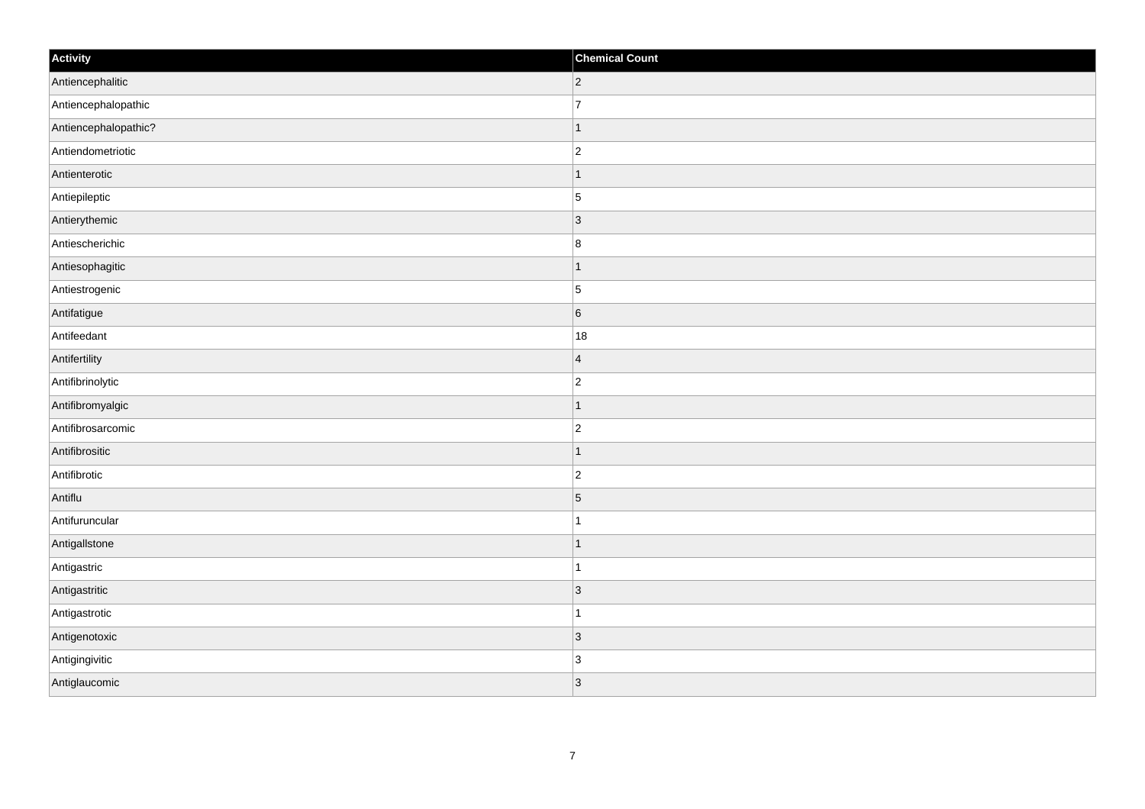| Activity             | <b>Chemical Count</b> |
|----------------------|-----------------------|
| Antiencephalitic     | $ 2\rangle$           |
| Antiencephalopathic  | $\overline{7}$        |
| Antiencephalopathic? | $\mathbf 1$           |
| Antiendometriotic    | $ 2\rangle$           |
| Antienterotic        | $\mathbf{1}$          |
| Antiepileptic        | $\overline{5}$        |
| Antierythemic        | $ 3\rangle$           |
| Antiescherichic      | 8                     |
| Antiesophagitic      | $\mathbf 1$           |
| Antiestrogenic       | 5                     |
| Antifatigue          | $6\overline{6}$       |
| Antifeedant          | 18                    |
| Antifertility        | $\vert$ 4             |
| Antifibrinolytic     | $\vert$ 2             |
| Antifibromyalgic     | $\overline{1}$        |
| Antifibrosarcomic    | $ 2\rangle$           |
| Antifibrositic       | $\mathbf{1}$          |
| Antifibrotic         | $ 2\rangle$           |
| Antiflu              | $\overline{5}$        |
| Antifuruncular       | 1                     |
| AntigalIstone        | $\overline{1}$        |
| Antigastric          | $\mathbf{1}$          |
| Antigastritic        | $ 3\rangle$           |
| Antigastrotic        | $\overline{1}$        |
| Antigenotoxic        | $ 3\rangle$           |
| Antigingivitic       | 3                     |
| Antiglaucomic        | 3                     |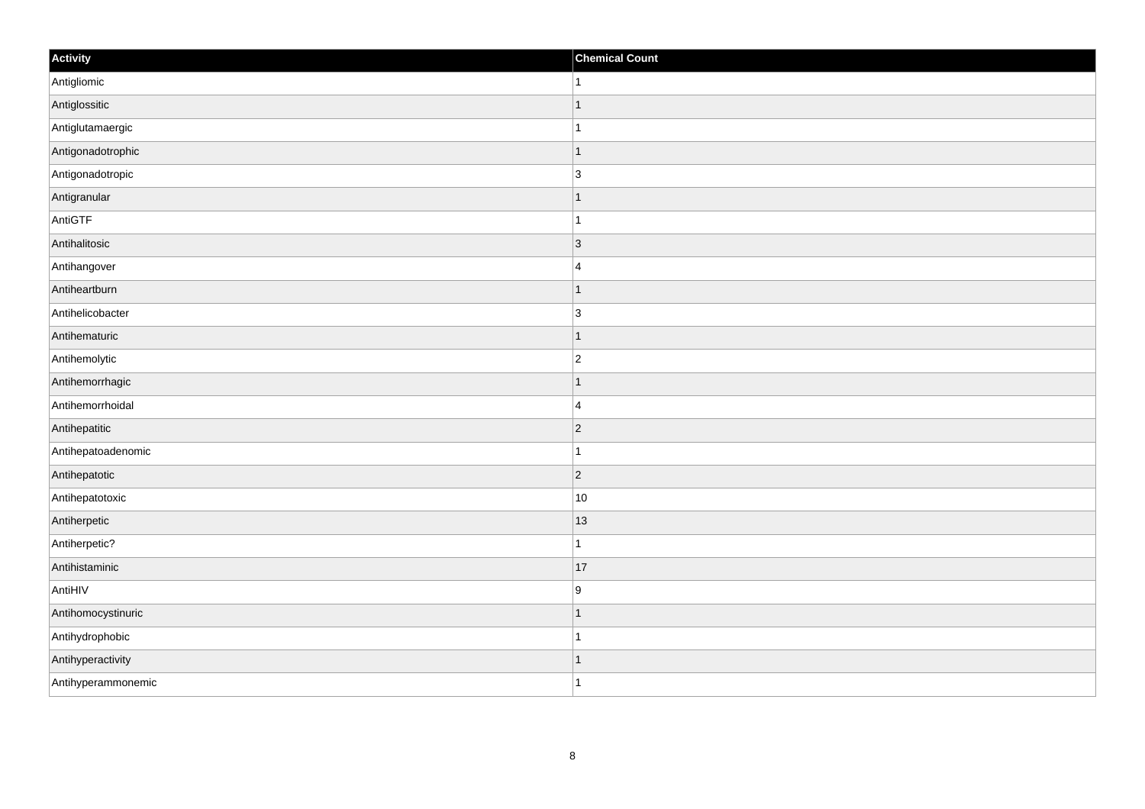| Activity           | <b>Chemical Count</b> |
|--------------------|-----------------------|
| Antigliomic        | 1                     |
| Antiglossitic      | 1                     |
| Antiglutamaergic   |                       |
| Antigonadotrophic  | $\mathbf 1$           |
| Antigonadotropic   | $\overline{3}$        |
| Antigranular       | 1                     |
| AntiGTF            | 1                     |
| Antihalitosic      | $\overline{3}$        |
| Antihangover       | 4                     |
| Antiheartburn      | $\overline{1}$        |
| Antihelicobacter   | $\overline{3}$        |
| Antihematuric      | $\mathbf 1$           |
| Antihemolytic      | $\overline{2}$        |
| Antihemorrhagic    | $\mathbf 1$           |
| Antihemorrhoidal   | $\overline{4}$        |
| Antihepatitic      | $ 2\rangle$           |
| Antihepatoadenomic | $\mathbf 1$           |
| Antihepatotic      | $ 2\rangle$           |
| Antihepatotoxic    | 10                    |
| Antiherpetic       | $ 13\rangle$          |
| Antiherpetic?      | $\mathbf{1}$          |
| Antihistaminic     | 17                    |
| AntiHIV            | 9                     |
| Antihomocystinuric | 1                     |
| Antihydrophobic    | $\mathbf{1}$          |
| Antihyperactivity  | -1                    |
| Antihyperammonemic | $\mathbf{1}$          |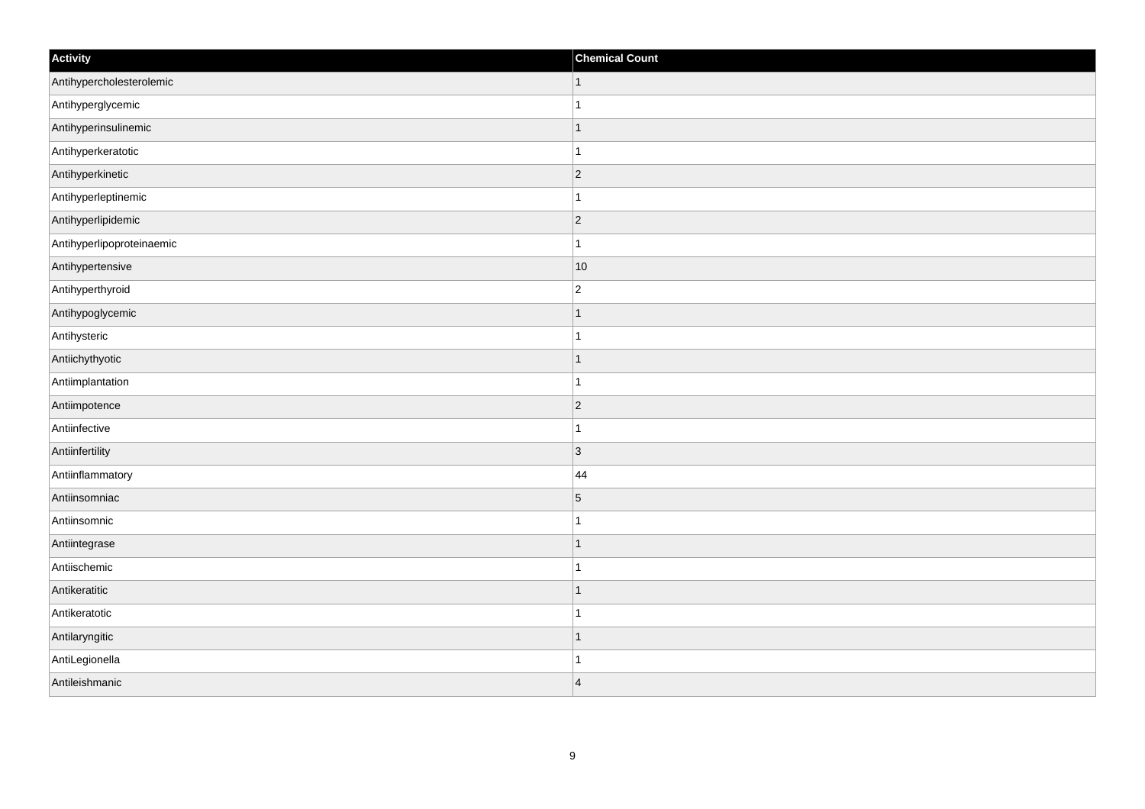| Activity                  | <b>Chemical Count</b> |
|---------------------------|-----------------------|
| Antihypercholesterolemic  | $\vert$ 1             |
| Antihyperglycemic         | $\overline{1}$        |
| Antihyperinsulinemic      |                       |
| Antihyperkeratotic        | 1                     |
| Antihyperkinetic          | $\overline{c}$        |
| Antihyperleptinemic       |                       |
| Antihyperlipidemic        | $ 2\rangle$           |
| Antihyperlipoproteinaemic | $\mathbf{1}$          |
| Antihypertensive          | $ 10\rangle$          |
| Antihyperthyroid          | $\overline{2}$        |
| Antihypoglycemic          | 1                     |
| Antihysteric              |                       |
| Antiichythyotic           | $\vert$ 1             |
| Antiimplantation          | $\mathbf{1}$          |
| Antiimpotence             | $ 2\rangle$           |
| Antiinfective             | $\mathbf{1}$          |
| Antiinfertility           | 3                     |
| Antiinflammatory          | 44                    |
| Antiinsomniac             | $\overline{5}$        |
| Antiinsomnic              | 1                     |
| Antiintegrase             | $\mathbf 1$           |
| Antiischemic              | $\mathbf{1}$          |
| Antikeratitic             | $\mathbf 1$           |
| Antikeratotic             | $\mathbf{1}$          |
| Antilaryngitic            | $\mathbf{1}$          |
| AntiLegionella            |                       |
| Antileishmanic            | $\overline{4}$        |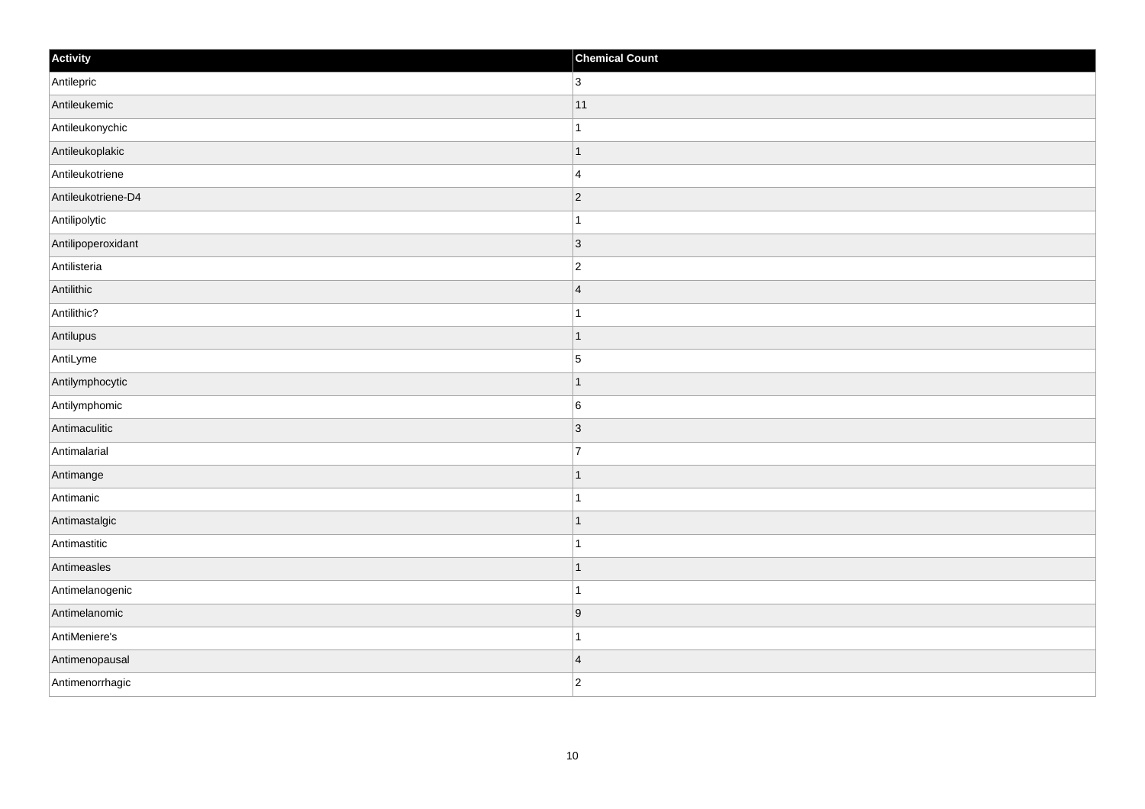| Activity           | <b>Chemical Count</b>   |
|--------------------|-------------------------|
| Antilepric         | $\overline{3}$          |
| Antileukemic       | 11                      |
| Antileukonychic    | 1                       |
| Antileukoplakic    | $\overline{1}$          |
| Antileukotriene    | $\overline{4}$          |
| Antileukotriene-D4 | $ 2\rangle$             |
| Antilipolytic      | $\mathbf{1}$            |
| Antilipoperoxidant | $ 3\rangle$             |
| Antilisteria       | $ 2\rangle$             |
| Antilithic         | $\overline{\mathbf{4}}$ |
| Antilithic?        | $\mathbf{1}$            |
| Antilupus          | $\vert$ 1               |
| AntiLyme           | $\overline{5}$          |
| Antilymphocytic    | 1                       |
| Antilymphomic      | 6                       |
| Antimaculitic      | 3                       |
| Antimalarial       | $\overline{7}$          |
| Antimange          | $\vert$ 1               |
| Antimanic          | $\mathbf{1}$            |
| Antimastalgic      | $\vert$ 1               |
| Antimastitic       | $\mathbf{1}$            |
| Antimeasles        | $\vert$ 1               |
| Antimelanogenic    | $\mathbf 1$             |
| Antimelanomic      | 9                       |
| AntiMeniere's      | $\overline{1}$          |
| Antimenopausal     | $\overline{\mathbf{4}}$ |
| Antimenorrhagic    | $\overline{c}$          |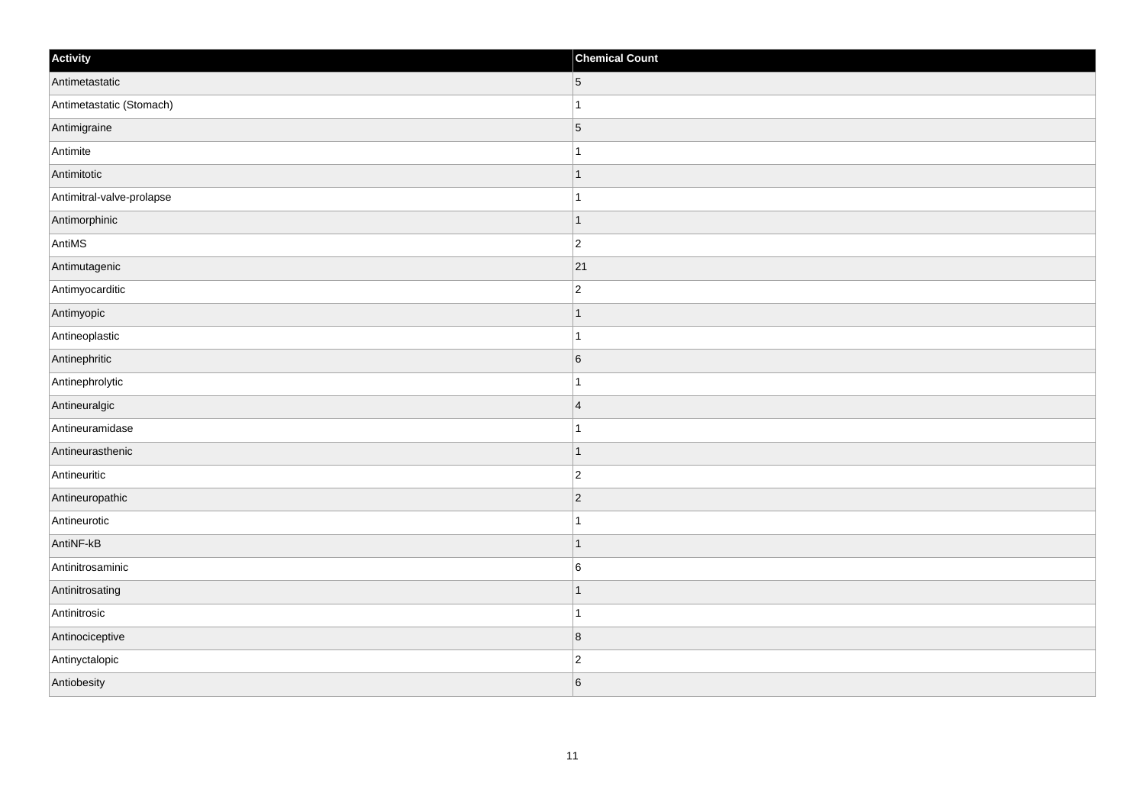| Activity                  | <b>Chemical Count</b>   |
|---------------------------|-------------------------|
| Antimetastatic            | $\vert 5 \vert$         |
| Antimetastatic (Stomach)  | $\mathbf{1}$            |
| Antimigraine              | $\overline{5}$          |
| Antimite                  | $\mathbf{1}$            |
| Antimitotic               | $\mathbf{1}$            |
| Antimitral-valve-prolapse | $\mathbf{1}$            |
| Antimorphinic             | $\vert$ 1               |
| AntiMS                    | $ 2\rangle$             |
| Antimutagenic             | 21                      |
| Antimyocarditic           | $ 2\rangle$             |
| Antimyopic                | $\mathbf{1}$            |
| Antineoplastic            | $\mathbf{1}$            |
| Antinephritic             | $6\overline{6}$         |
| Antinephrolytic           | $\mathbf{1}$            |
| Antineuralgic             | 4                       |
| Antineuramidase           | $\mathbf{1}$            |
| Antineurasthenic          | $\vert$ 1               |
| Antineuritic              | $ 2\rangle$             |
| Antineuropathic           | $ 2\rangle$             |
| Antineurotic              | $\mathbf{1}$            |
| AntiNF-kB                 | $\vert$ 1               |
| Antinitrosaminic          | $6\overline{6}$         |
| Antinitrosating           | $\mathbf{1}$            |
| Antinitrosic              | $\vert$ 1               |
| Antinociceptive           | $\overline{\mathbf{8}}$ |
| Antinyctalopic            | $\vert$ 2               |
| Antiobesity               | 6                       |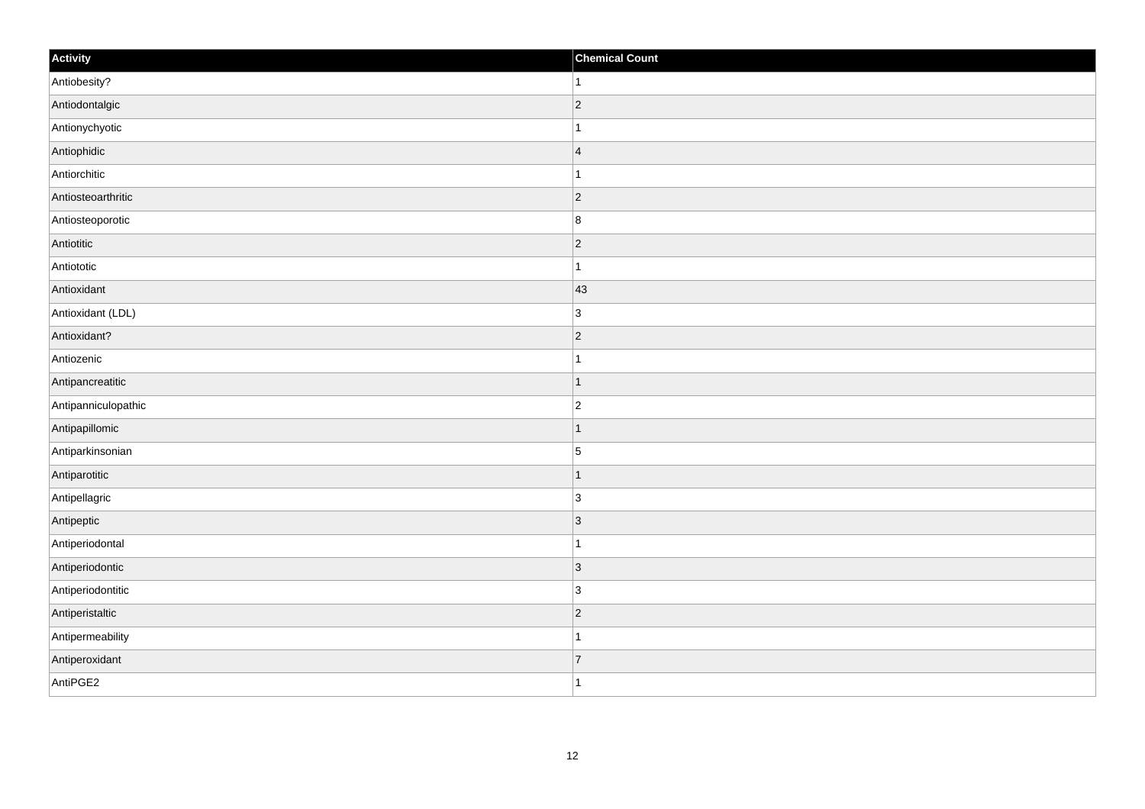| Activity            | <b>Chemical Count</b> |
|---------------------|-----------------------|
| Antiobesity?        | $\vert$ 1             |
| Antiodontalgic      | $ 2\rangle$           |
| Antionychyotic      | $\mathbf{1}$          |
| Antiophidic         | $\vert 4 \vert$       |
| Antiorchitic        | $\vert$ 1             |
| Antiosteoarthritic  | $ 2\rangle$           |
| Antiosteoporotic    | 8                     |
| Antiotitic          | $\overline{2}$        |
| Antiototic          | $\mathbf{1}$          |
| Antioxidant         | 43                    |
| Antioxidant (LDL)   | 3                     |
| Antioxidant?        | $ 2\rangle$           |
| Antiozenic          | $\mathbf{1}$          |
| Antipancreatitic    | $\vert$ 1             |
| Antipanniculopathic | $ 2\rangle$           |
| Antipapillomic      | $\vert$ 1             |
| Antiparkinsonian    | 5                     |
| Antiparotitic       | $\vert$ 1             |
| Antipellagric       | $ 3\rangle$           |
| Antipeptic          | $\vert 3 \vert$       |
| Antiperiodontal     | $\vert$ 1             |
| Antiperiodontic     | $ 3\rangle$           |
| Antiperiodontitic   | $\vert 3 \vert$       |
| Antiperistaltic     | $\vert$ 2             |
| Antipermeability    | $\vert$ 1             |
| Antiperoxidant      | $\overline{7}$        |
| AntiPGE2            | $\vert$ 1             |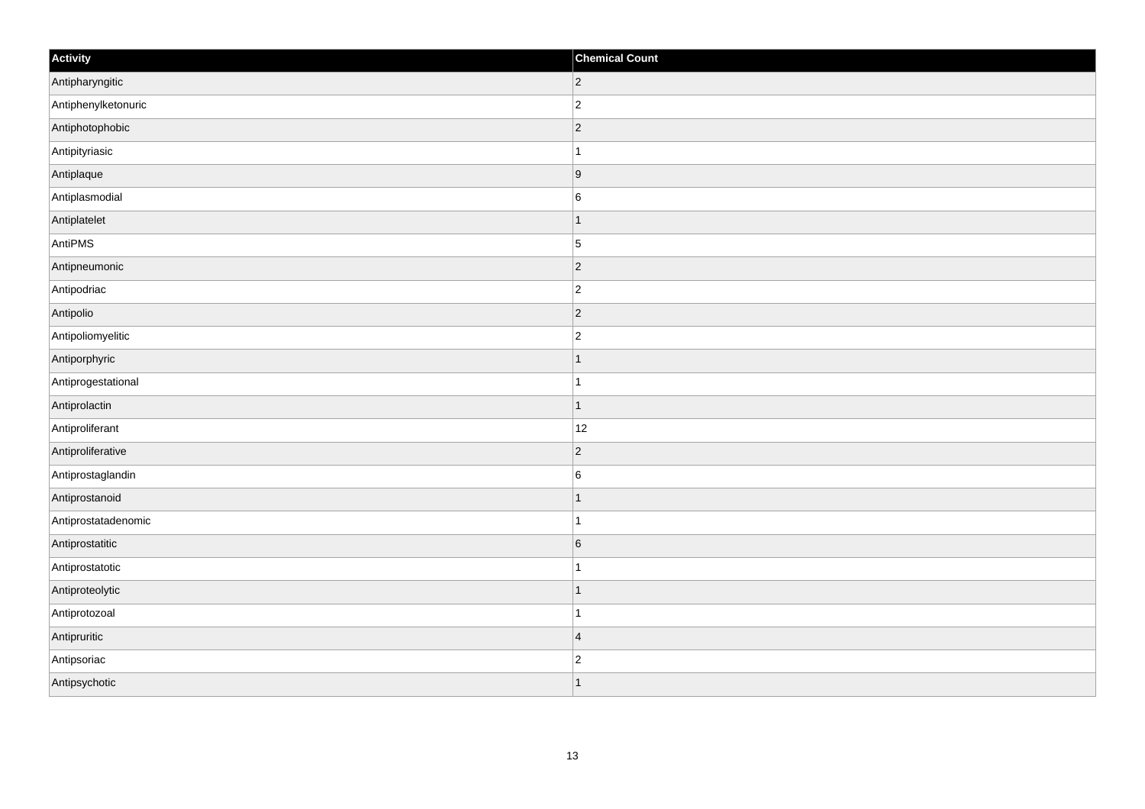| Activity            | <b>Chemical Count</b> |
|---------------------|-----------------------|
| Antipharyngitic     | $ 2\rangle$           |
| Antiphenylketonuric | $ 2\rangle$           |
| Antiphotophobic     | $ 2\rangle$           |
| Antipityriasic      | $\mathbf{1}$          |
| Antiplaque          | 9                     |
| Antiplasmodial      | $\overline{6}$        |
| Antiplatelet        | $\vert$ 1             |
| AntiPMS             | $\overline{5}$        |
| Antipneumonic       | $ 2\rangle$           |
| Antipodriac         | $ 2\rangle$           |
| Antipolio           | $ 2\rangle$           |
| Antipoliomyelitic   | $\vert$ 2             |
| Antiporphyric       | $\vert$ 1             |
| Antiprogestational  | $\vert$ 1             |
| Antiprolactin       | $\vert$ 1             |
| Antiproliferant     | 12                    |
| Antiproliferative   | $ 2\rangle$           |
| Antiprostaglandin   | $6\overline{6}$       |
| Antiprostanoid      | $\vert$ 1             |
| Antiprostatadenomic | $\vert$ 1             |
| Antiprostatitic     | $6\overline{6}$       |
| Antiprostatotic     | $\vert$ 1             |
| Antiproteolytic     | $\mathbf{1}$          |
| Antiprotozoal       | $\mathbf{1}$          |
| Antipruritic        | $\vert 4$             |
| Antipsoriac         | $ 2\rangle$           |
| Antipsychotic       | $\mathbf{1}$          |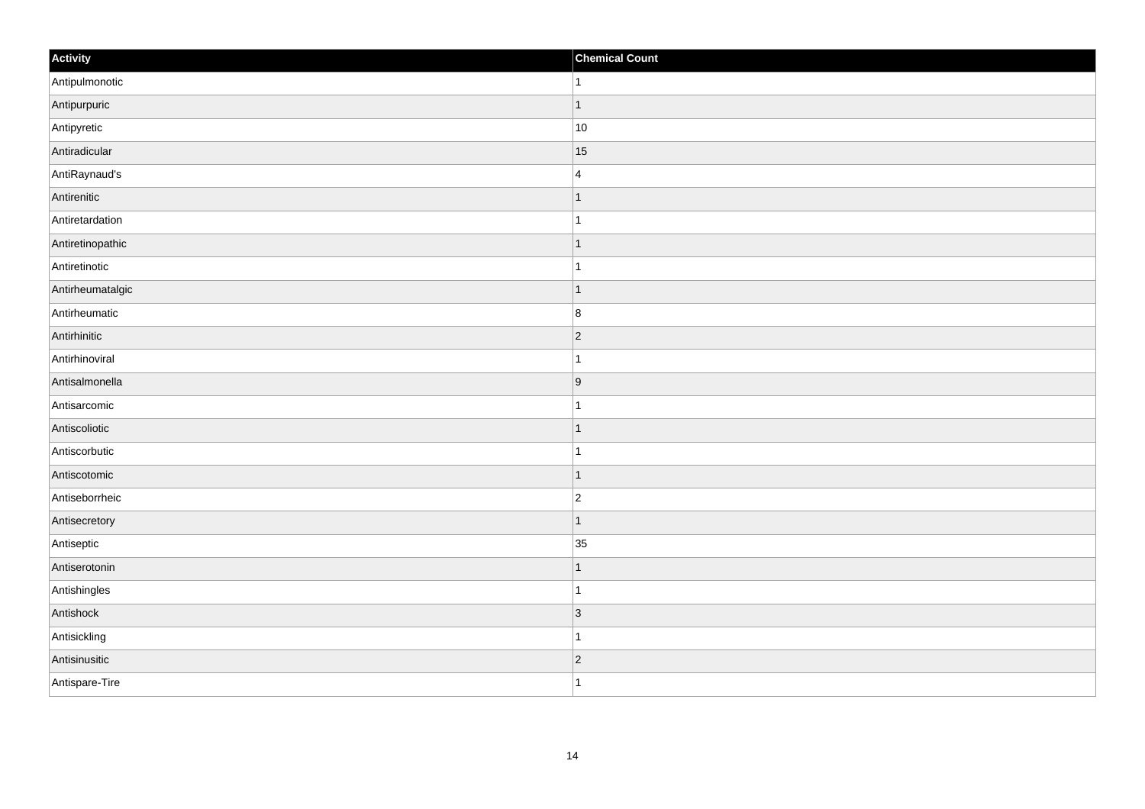| Activity         | <b>Chemical Count</b> |
|------------------|-----------------------|
| Antipulmonotic   | $\vert$ 1             |
| Antipurpuric     | $\overline{1}$        |
| Antipyretic      | $ 10\rangle$          |
| Antiradicular    | 15                    |
| AntiRaynaud's    | $\overline{4}$        |
| Antirenitic      | $\mathbf 1$           |
| Antiretardation  | $\mathbf{1}$          |
| Antiretinopathic | $\overline{1}$        |
| Antiretinotic    |                       |
| Antirheumatalgic | $\vert$ 1             |
| Antirheumatic    | 8                     |
| Antirhinitic     | $ 2\rangle$           |
| Antirhinoviral   | $\mathbf{1}$          |
| Antisalmonella   | 9                     |
| Antisarcomic     | 1                     |
| Antiscoliotic    | $\vert$ 1             |
| Antiscorbutic    | $\mathbf{1}$          |
| Antiscotomic     | $\vert$ 1             |
| Antiseborrheic   | $ 2\rangle$           |
| Antisecretory    | $\vert$ 1             |
| Antiseptic       | 35                    |
| Antiserotonin    | $\vert$ 1             |
| Antishingles     | $\overline{1}$        |
| Antishock        | 3                     |
| Antisickling     | $\mathbf{1}$          |
| Antisinusitic    | $ 2\rangle$           |
| Antispare-Tire   | $\overline{1}$        |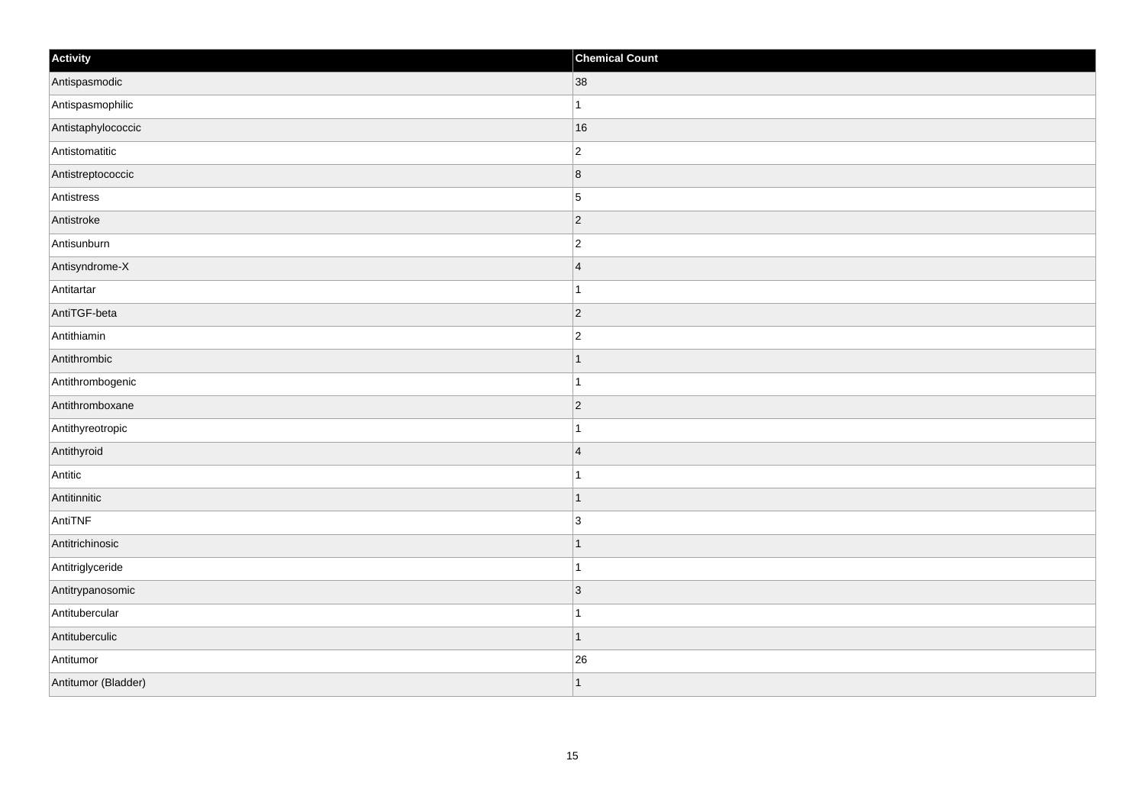| Activity            | <b>Chemical Count</b>   |
|---------------------|-------------------------|
| Antispasmodic       | 38                      |
| Antispasmophilic    | $\mathbf{1}$            |
| Antistaphylococcic  | 16                      |
| Antistomatitic      | $ 2\rangle$             |
| Antistreptococcic   | $\overline{\mathbf{8}}$ |
| Antistress          | $\overline{5}$          |
| Antistroke          | $ 2\rangle$             |
| Antisunburn         | $ 2\rangle$             |
| Antisyndrome-X      | $\vert 4$               |
| Antitartar          | $\vert$ 1               |
| AntiTGF-beta        | $\overline{2}$          |
| Antithiamin         | $\overline{2}$          |
| Antithrombic        | $\vert$ 1               |
| Antithrombogenic    | $\vert$ 1               |
| Antithromboxane     | $ 2\rangle$             |
| Antithyreotropic    | $\mathbf{1}$            |
| Antithyroid         | $\vert$ 4               |
| Antitic             | $\vert$ 1               |
| Antitinnitic        | $\vert$ 1               |
| AntiTNF             | 3                       |
| Antitrichinosic     | $\vert$ 1               |
| Antitriglyceride    | $\vert$ 1               |
| Antitrypanosomic    | $\vert$ 3               |
| Antitubercular      | $\mathbf{1}$            |
| Antituberculic      | $\vert$ 1               |
| Antitumor           | 26                      |
| Antitumor (Bladder) | $\vert$ 1               |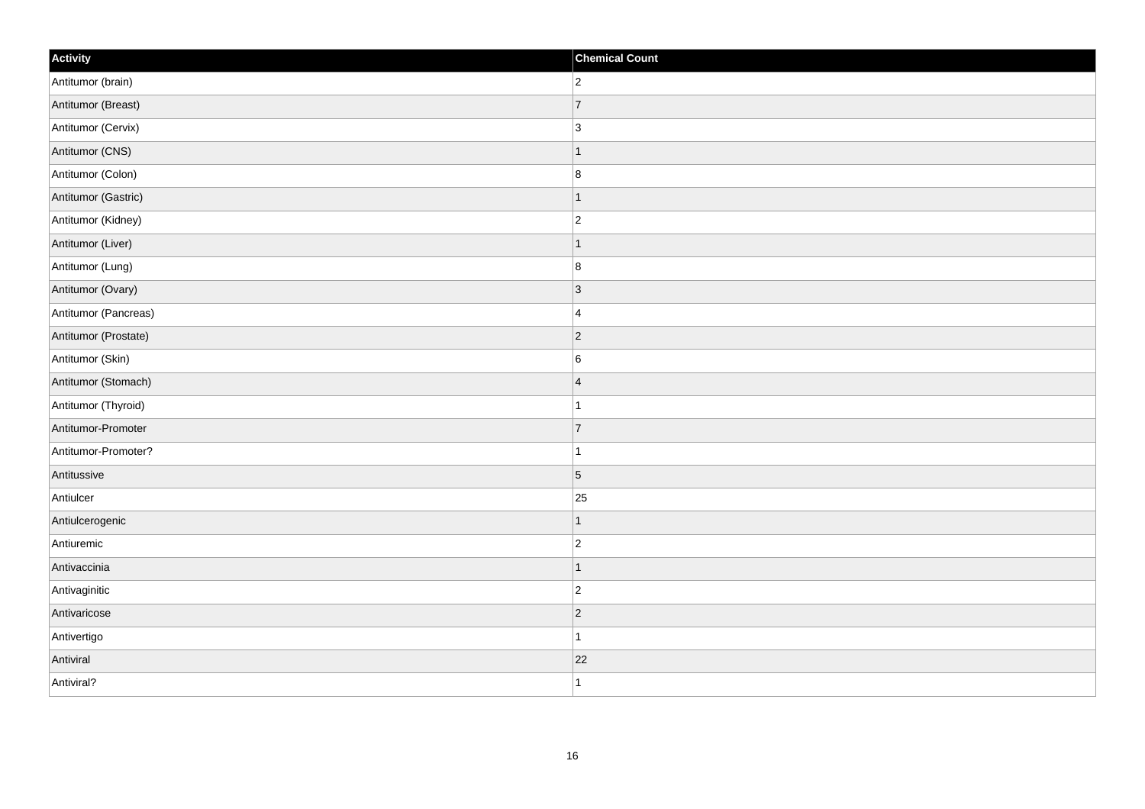| Activity             | <b>Chemical Count</b> |
|----------------------|-----------------------|
| Antitumor (brain)    | $ 2\rangle$           |
| Antitumor (Breast)   | 7                     |
| Antitumor (Cervix)   | $ 3\rangle$           |
| Antitumor (CNS)      | $\mathbf{1}$          |
| Antitumor (Colon)    | $\boldsymbol{8}$      |
| Antitumor (Gastric)  | $\mathbf{1}$          |
| Antitumor (Kidney)   | $ 2\rangle$           |
| Antitumor (Liver)    | $\mathbf{1}$          |
| Antitumor (Lung)     | 8                     |
| Antitumor (Ovary)    | 3                     |
| Antitumor (Pancreas) | $\overline{4}$        |
| Antitumor (Prostate) | $ 2\rangle$           |
| Antitumor (Skin)     | 6                     |
| Antitumor (Stomach)  | $\vert 4$             |
| Antitumor (Thyroid)  | $\mathbf{1}$          |
| Antitumor-Promoter   | 7                     |
| Antitumor-Promoter?  | $\mathbf{1}$          |
| Antitussive          | $\vert$ 5             |
| Antiulcer            | 25                    |
| Antiulcerogenic      | $\mathbf{1}$          |
| Antiuremic           | $ 2\rangle$           |
| Antivaccinia         | $\mathbf{1}$          |
| Antivaginitic        | $ 2\rangle$           |
| Antivaricose         | $ 2\rangle$           |
| Antivertigo          | $\mathbf{1}$          |
| Antiviral            | 22                    |
| Antiviral?           | $\mathbf{1}$          |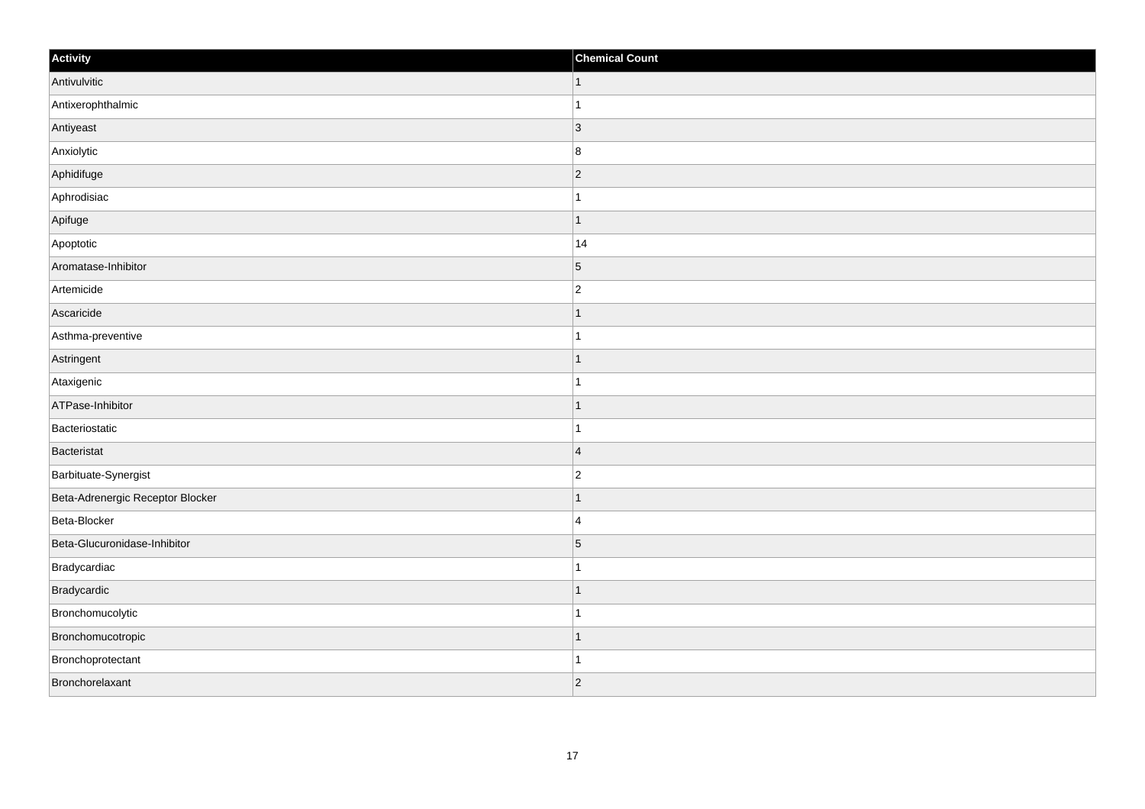| Activity                         | <b>Chemical Count</b> |
|----------------------------------|-----------------------|
| Antivulvitic                     | $\vert$ 1             |
| Antixerophthalmic                |                       |
| Antiyeast                        | $\vert$ 3             |
| Anxiolytic                       | $\boldsymbol{8}$      |
| Aphidifuge                       | $\overline{2}$        |
| Aphrodisiac                      |                       |
| Apifuge                          | 1                     |
| Apoptotic                        | 14                    |
| Aromatase-Inhibitor              | $\overline{5}$        |
| Artemicide                       | $\overline{2}$        |
| Ascaricide                       |                       |
| Asthma-preventive                |                       |
| Astringent                       | -1                    |
| Ataxigenic                       | 1                     |
| ATPase-Inhibitor                 |                       |
| Bacteriostatic                   |                       |
| Bacteristat                      | $\overline{4}$        |
| Barbituate-Synergist             | $\overline{c}$        |
| Beta-Adrenergic Receptor Blocker | 1                     |
| Beta-Blocker                     | $\overline{4}$        |
| Beta-Glucuronidase-Inhibitor     | $\overline{5}$        |
| Bradycardiac                     |                       |
| Bradycardic                      |                       |
| Bronchomucolytic                 |                       |
| Bronchomucotropic                | 1                     |
| Bronchoprotectant                |                       |
| Bronchorelaxant                  | $\overline{2}$        |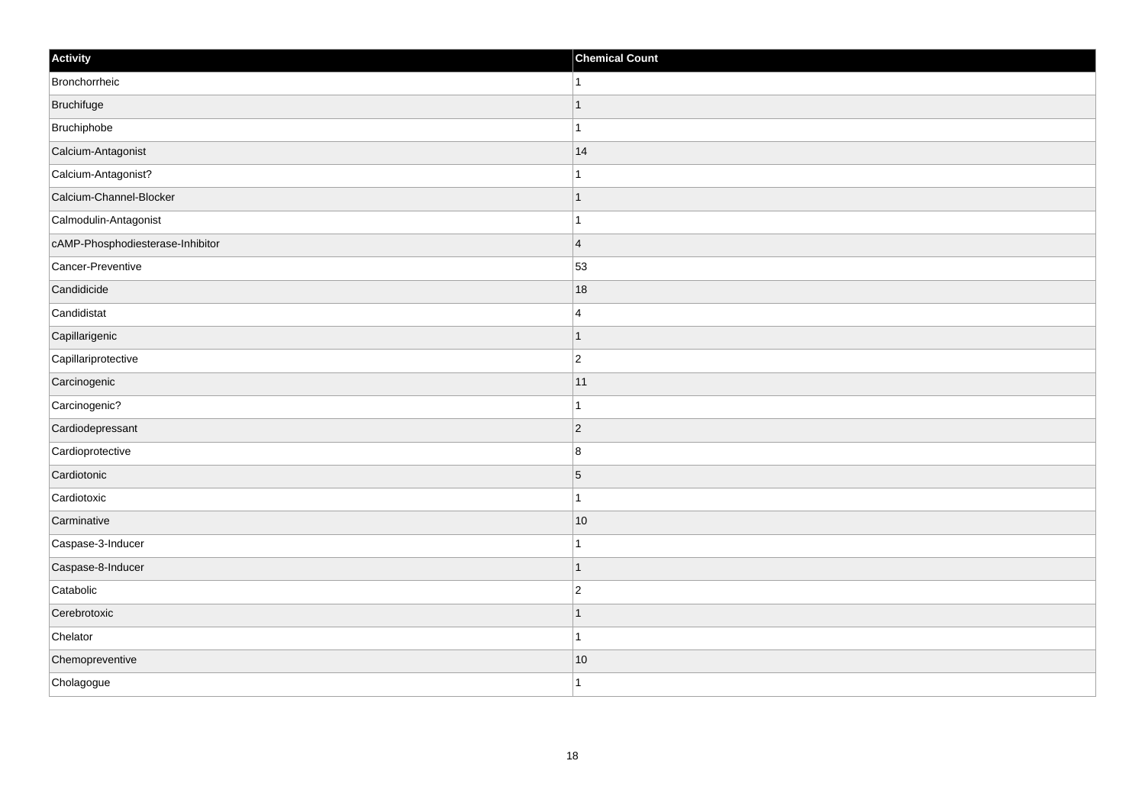| Activity                         | <b>Chemical Count</b> |
|----------------------------------|-----------------------|
| Bronchorrheic                    | $\mathbf{1}$          |
| Bruchifuge                       |                       |
| Bruchiphobe                      |                       |
| Calcium-Antagonist               | 14                    |
| Calcium-Antagonist?              | $\mathbf{1}$          |
| Calcium-Channel-Blocker          |                       |
| Calmodulin-Antagonist            |                       |
| cAMP-Phosphodiesterase-Inhibitor | $\overline{4}$        |
| Cancer-Preventive                | 53                    |
| Candidicide                      | 18                    |
| Candidistat                      | $\overline{4}$        |
| Capillarigenic                   | $\overline{1}$        |
| Capillariprotective              | $\overline{2}$        |
| Carcinogenic                     | 11                    |
| Carcinogenic?                    | $\mathbf{1}$          |
| Cardiodepressant                 | $ 2\rangle$           |
| Cardioprotective                 | $\bf 8$               |
| Cardiotonic                      | $\overline{5}$        |
| Cardiotoxic                      | $\mathbf{1}$          |
| Carminative                      | 10                    |
| Caspase-3-Inducer                | $\mathbf{1}$          |
| Caspase-8-Inducer                |                       |
| Catabolic                        | $\overline{2}$        |
| Cerebrotoxic                     | 1                     |
| Chelator                         | $\mathbf{1}$          |
| Chemopreventive                  | $ 10\rangle$          |
| Cholagogue                       | $\mathbf{1}$          |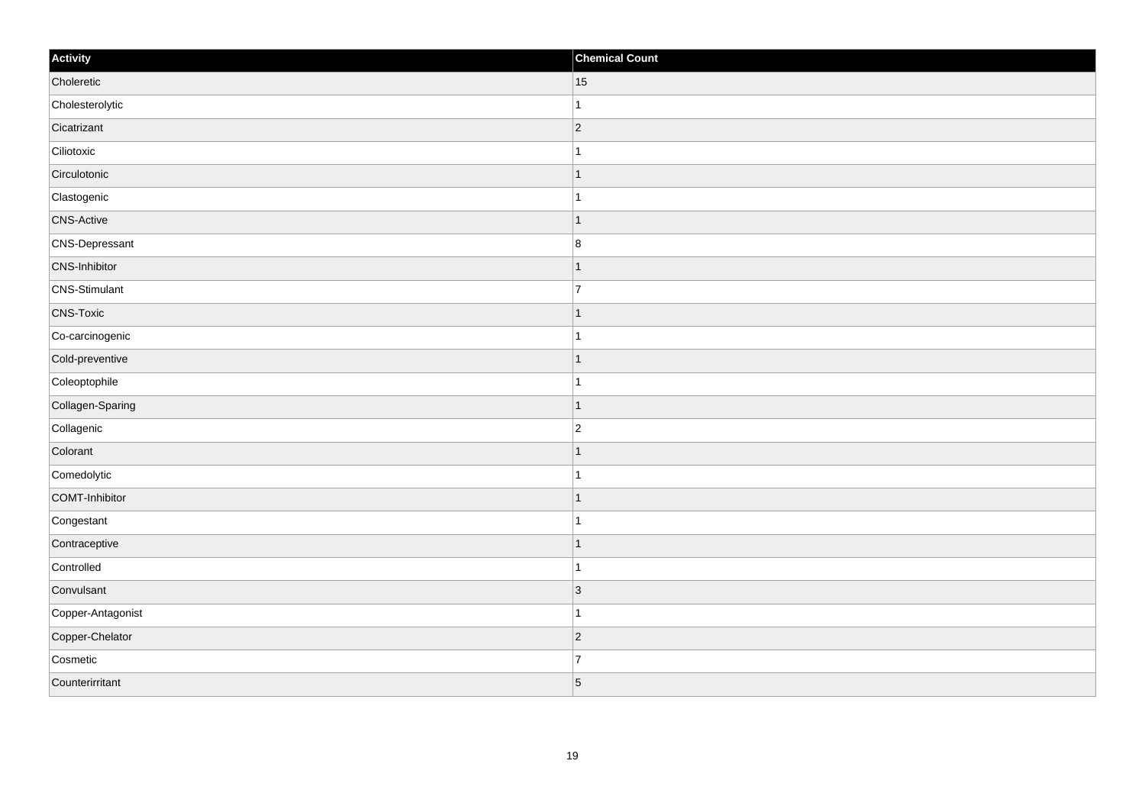| Activity          | <b>Chemical Count</b> |
|-------------------|-----------------------|
| Choleretic        | 15                    |
| Cholesterolytic   | $\overline{1}$        |
| Cicatrizant       | 2                     |
| Ciliotoxic        | 1                     |
| Circulotonic      | $\mathbf 1$           |
| Clastogenic       |                       |
| <b>CNS-Active</b> | $\overline{1}$        |
| CNS-Depressant    | $\bf 8$               |
| CNS-Inhibitor     | -1                    |
| CNS-Stimulant     | $\overline{7}$        |
| <b>CNS-Toxic</b>  | 1                     |
| Co-carcinogenic   |                       |
| Cold-preventive   | $\vert$ 1             |
| Coleoptophile     | $\mathbf{1}$          |
| Collagen-Sparing  | $\mathbf 1$           |
| Collagenic        | $\overline{2}$        |
| Colorant          |                       |
| Comedolytic       |                       |
| COMT-Inhibitor    | $\mathbf{1}$          |
| Congestant        | $\mathbf{1}$          |
| Contraceptive     | $\mathbf 1$           |
| Controlled        | $\mathbf{1}$          |
| Convulsant        | 3                     |
| Copper-Antagonist | $\mathbf{1}$          |
| Copper-Chelator   | $ 2\rangle$           |
| Cosmetic          | $\overline{7}$        |
| Counterirritant   | $\overline{5}$        |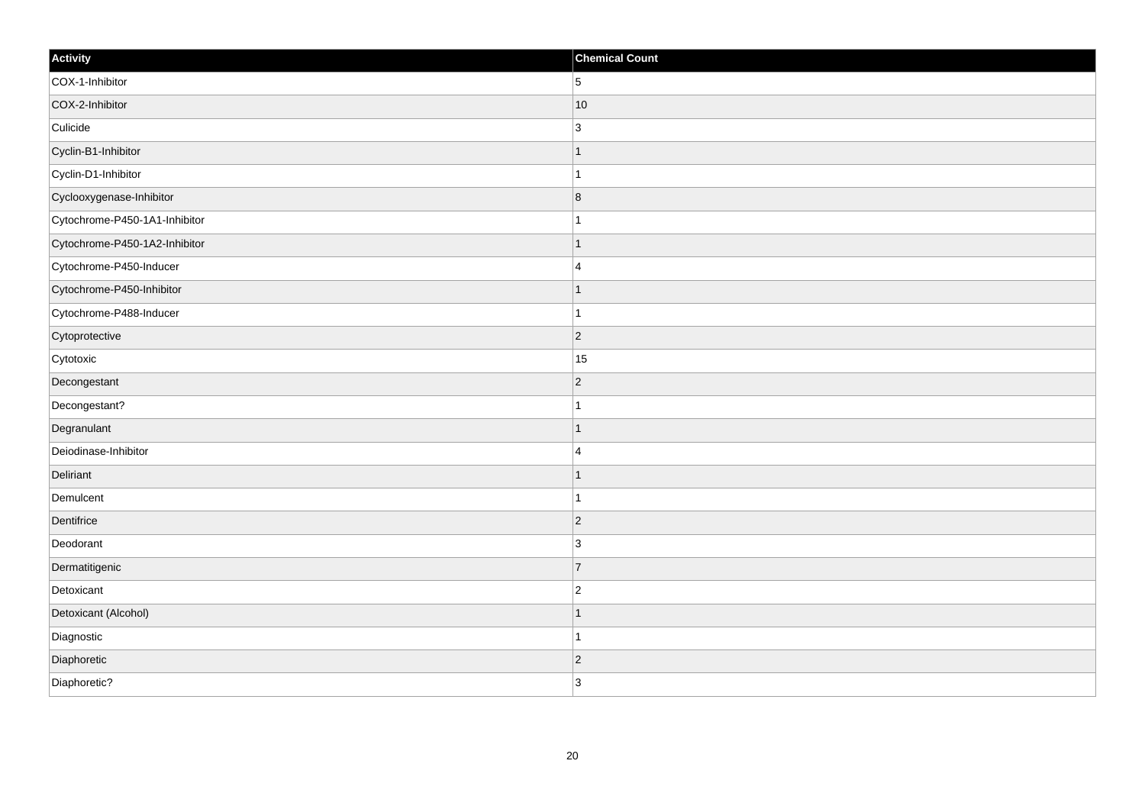| Activity                      | <b>Chemical Count</b> |
|-------------------------------|-----------------------|
| COX-1-Inhibitor               | 5                     |
| COX-2-Inhibitor               | 10                    |
| Culicide                      | 3                     |
| Cyclin-B1-Inhibitor           | $\mathbf{1}$          |
| Cyclin-D1-Inhibitor           | $\mathbf{1}$          |
| Cyclooxygenase-Inhibitor      | $\vert 8$             |
| Cytochrome-P450-1A1-Inhibitor | $\mathbf{1}$          |
| Cytochrome-P450-1A2-Inhibitor | $\mathbf 1$           |
| Cytochrome-P450-Inducer       | 4                     |
| Cytochrome-P450-Inhibitor     | $\mathbf{1}$          |
| Cytochrome-P488-Inducer       | $\mathbf{1}$          |
| Cytoprotective                | $\vert$ 2             |
| Cytotoxic                     | 15                    |
| Decongestant                  | $ 2\rangle$           |
| Decongestant?                 | $\mathbf{1}$          |
| Degranulant                   | $\mathbf{1}$          |
| Deiodinase-Inhibitor          | 4                     |
| Deliriant                     | $\mathbf{1}$          |
| Demulcent                     | $\mathbf{1}$          |
| Dentifrice                    | $\overline{2}$        |
| Deodorant                     | 3                     |
| Dermatitigenic                | 7                     |
| Detoxicant                    | $\vert$ 2             |
| Detoxicant (Alcohol)          | $\mathbf{1}$          |
| Diagnostic                    | $\mathbf{1}$          |
| Diaphoretic                   | $\vert$ 2             |
| Diaphoretic?                  | 3                     |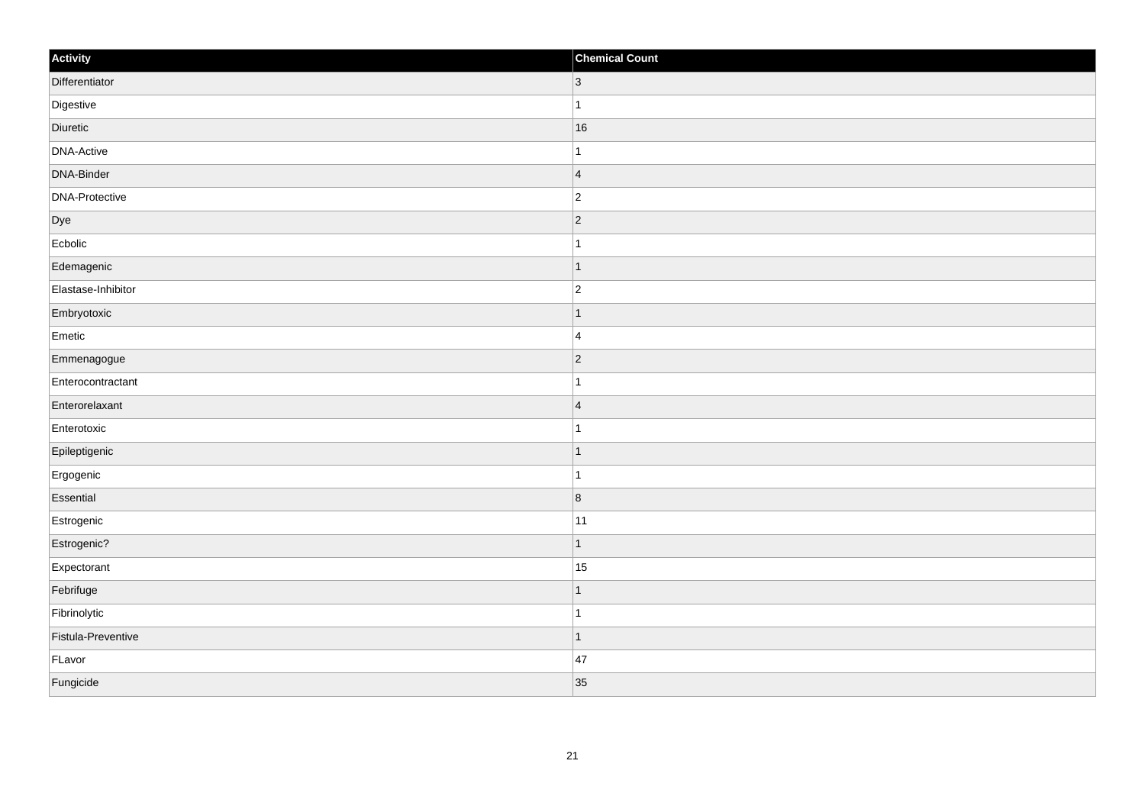| Activity           | <b>Chemical Count</b>    |
|--------------------|--------------------------|
| Differentiator     | $ 3\rangle$              |
| Digestive          |                          |
| Diuretic           | 16                       |
| DNA-Active         | 1                        |
| DNA-Binder         | $\overline{4}$           |
| DNA-Protective     | $\overline{c}$           |
| Dye                | $\vert$ 2                |
| Ecbolic            | 1                        |
| Edemagenic         | $\overline{\phantom{a}}$ |
| Elastase-Inhibitor | $\overline{2}$           |
| Embryotoxic        |                          |
| Emetic             | $\overline{4}$           |
| Emmenagogue        | $\vert$ 2                |
| Enterocontractant  |                          |
| Enterorelaxant     | $\vert 4 \vert$          |
| Enterotoxic        |                          |
| Epileptigenic      | -1                       |
| Ergogenic          | -1                       |
| Essential          | $\vert 8$                |
| Estrogenic         | 11                       |
| Estrogenic?        | $\overline{1}$           |
| Expectorant        | 15                       |
| Febrifuge          |                          |
| Fibrinolytic       | -1                       |
| Fistula-Preventive | 1                        |
| FLavor             | 47                       |
| Fungicide          | 35                       |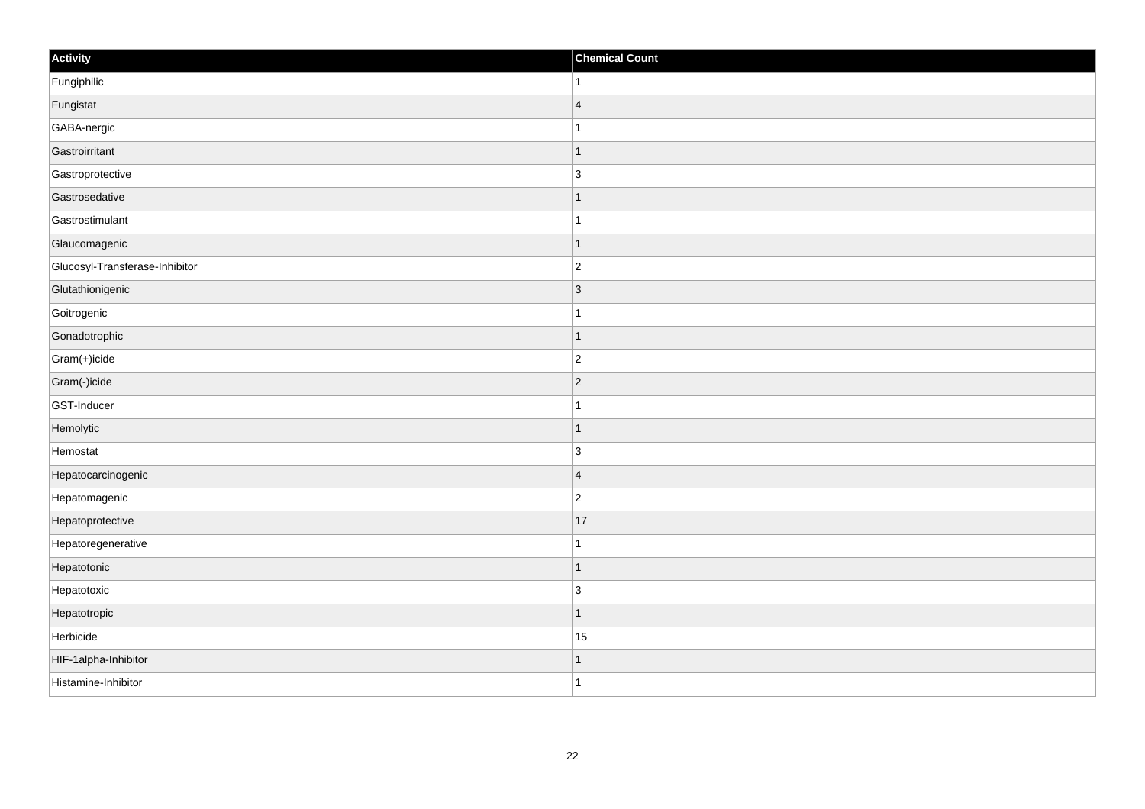| Activity                       | <b>Chemical Count</b> |
|--------------------------------|-----------------------|
| Fungiphilic                    | 1                     |
| Fungistat                      | $\overline{4}$        |
| GABA-nergic                    |                       |
| Gastroirritant                 | $\mathbf 1$           |
| Gastroprotective               | 3                     |
| Gastrosedative                 |                       |
| Gastrostimulant                | $\overline{1}$        |
| Glaucomagenic                  | $\mathbf 1$           |
| Glucosyl-Transferase-Inhibitor | $ 2\rangle$           |
| Glutathionigenic               | 3                     |
| Goitrogenic                    | $\mathbf{1}$          |
| Gonadotrophic                  | $\mathbf 1$           |
| Gram(+)icide                   | $\overline{c}$        |
| Gram(-)icide                   | $\overline{2}$        |
| GST-Inducer                    |                       |
| Hemolytic                      | $\mathbf 1$           |
| Hemostat                       | 3                     |
| Hepatocarcinogenic             | $\overline{4}$        |
| Hepatomagenic                  | $\overline{2}$        |
| Hepatoprotective               | 17                    |
| Hepatoregenerative             | 1                     |
| Hepatotonic                    | $\mathbf{1}$          |
| Hepatotoxic                    | $\overline{3}$        |
| Hepatotropic                   | $\mathbf{1}$          |
| Herbicide                      | 15                    |
| HIF-1alpha-Inhibitor           |                       |
| Histamine-Inhibitor            | $\mathbf{1}$          |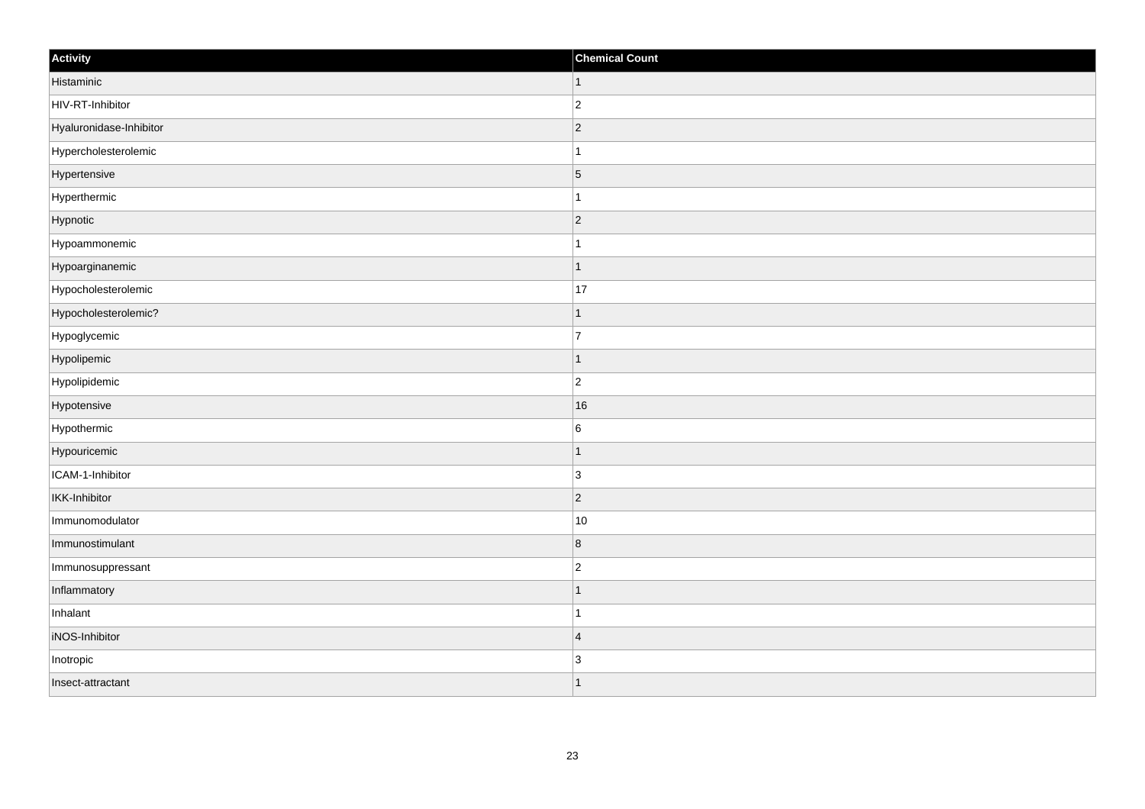| Activity                | <b>Chemical Count</b> |
|-------------------------|-----------------------|
| Histaminic              | $\vert$ 1             |
| HIV-RT-Inhibitor        | $\overline{c}$        |
| Hyaluronidase-Inhibitor | $ 2\rangle$           |
| Hypercholesterolemic    | 1                     |
| Hypertensive            | $\overline{5}$        |
| Hyperthermic            |                       |
| Hypnotic                | $ 2\rangle$           |
| Hypoammonemic           | $\mathbf{1}$          |
| Hypoarginanemic         | $\mathbf 1$           |
| Hypocholesterolemic     | 17                    |
| Hypocholesterolemic?    | 1                     |
| Hypoglycemic            | $\overline{7}$        |
| Hypolipemic             | $\vert$ 1             |
| Hypolipidemic           | $\overline{c}$        |
| Hypotensive             | 16                    |
| Hypothermic             | $\,6$                 |
| Hypouricemic            | $\mathbf 1$           |
| ICAM-1-Inhibitor        | 3                     |
| <b>IKK-Inhibitor</b>    | $ 2\rangle$           |
| Immunomodulator         | $10$                  |
| Immunostimulant         | 8                     |
| Immunosuppressant       | $\overline{c}$        |
| Inflammatory            | 1                     |
| Inhalant                | $\mathbf{1}$          |
| iNOS-Inhibitor          | $\overline{4}$        |
| Inotropic               | $\overline{3}$        |
| Insect-attractant       | $\mathbf 1$           |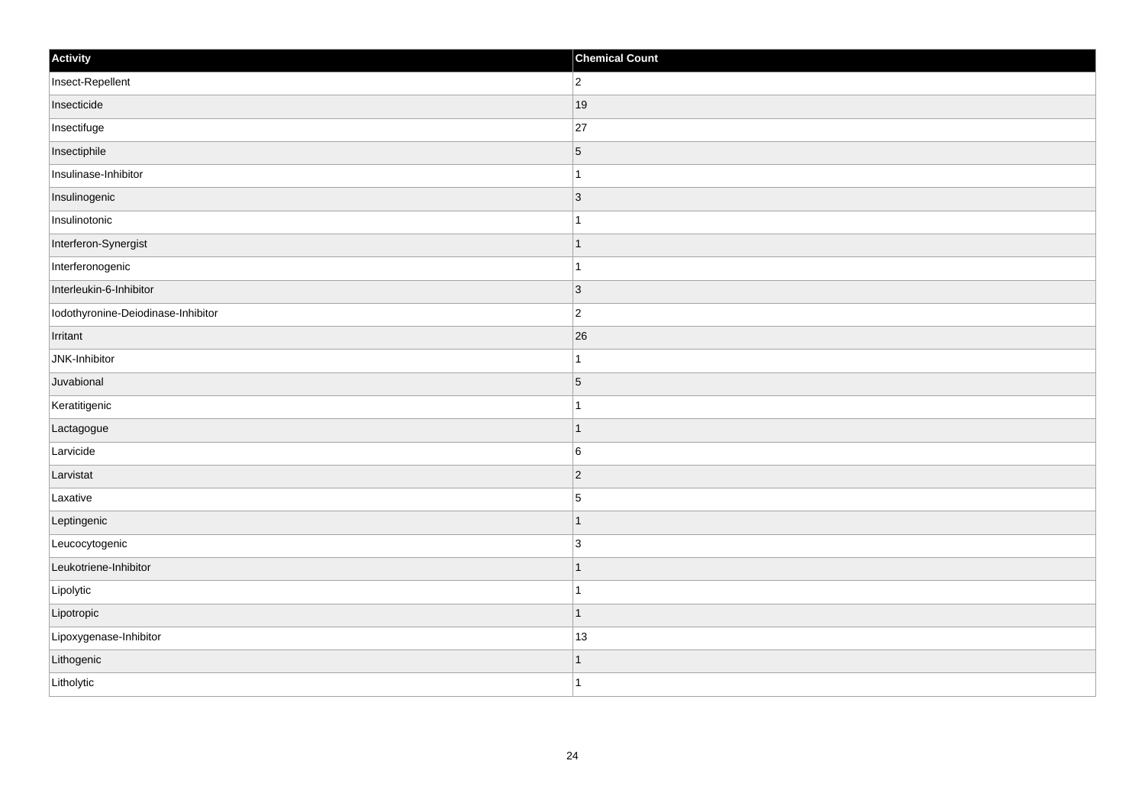| Activity                           | <b>Chemical Count</b>    |
|------------------------------------|--------------------------|
| Insect-Repellent                   | $\overline{2}$           |
| Insecticide                        | 19                       |
| Insectifuge                        | 27                       |
| Insectiphile                       | $\sqrt{5}$               |
| Insulinase-Inhibitor               | 1                        |
| Insulinogenic                      | $\vert 3 \vert$          |
| Insulinotonic                      | -1                       |
| Interferon-Synergist               | -1                       |
| Interferonogenic                   |                          |
| Interleukin-6-Inhibitor            | $\vert$ 3                |
| Iodothyronine-Deiodinase-Inhibitor | $\overline{2}$           |
| Irritant                           | 26                       |
| JNK-Inhibitor                      | -1                       |
| Juvabional                         | $\overline{5}$           |
| Keratitigenic                      |                          |
| Lactagogue                         | $\overline{\phantom{a}}$ |
| Larvicide                          | $\vert 6 \vert$          |
| Larvistat                          | $\vert$ 2                |
| Laxative                           | $\overline{5}$           |
| Leptingenic                        | -1                       |
| Leucocytogenic                     | $\overline{3}$           |
| Leukotriene-Inhibitor              | $\overline{ }$           |
| Lipolytic                          |                          |
| Lipotropic                         | 1                        |
| Lipoxygenase-Inhibitor             | 13                       |
| Lithogenic                         |                          |
| Litholytic                         | -1                       |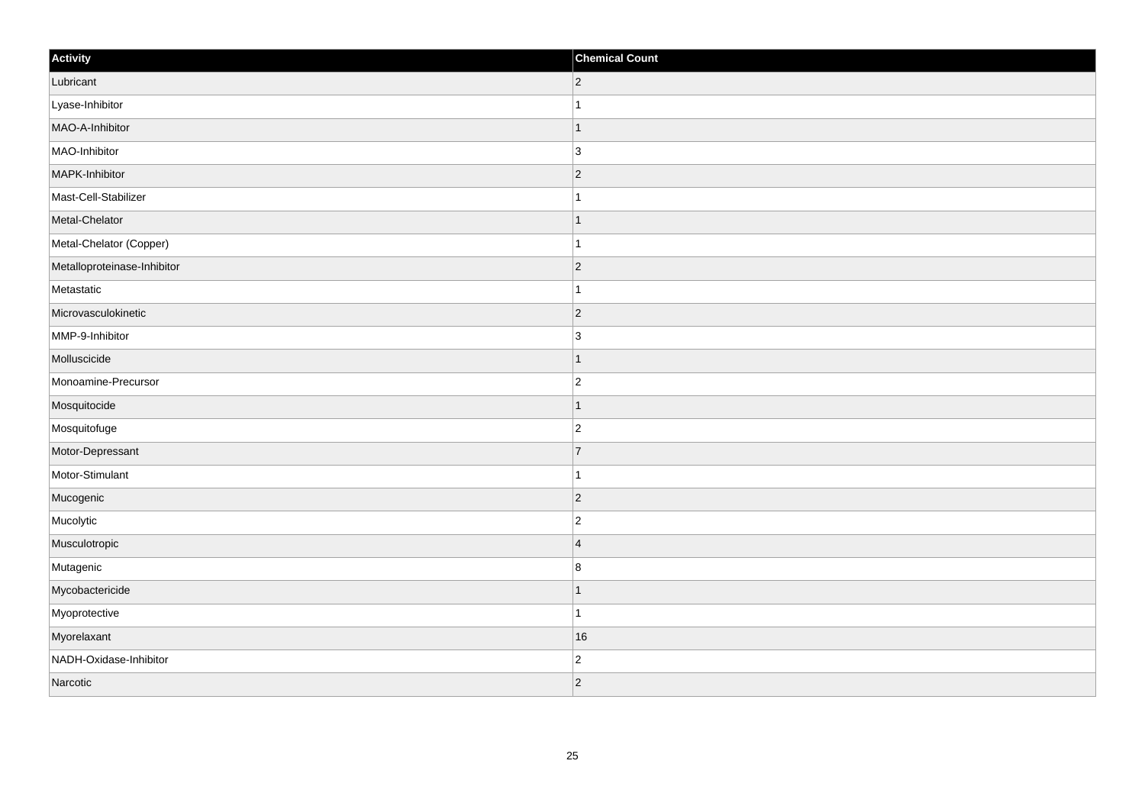| Activity                    | <b>Chemical Count</b> |
|-----------------------------|-----------------------|
| Lubricant                   | $ 2\rangle$           |
| Lyase-Inhibitor             |                       |
| MAO-A-Inhibitor             | $\mathbf 1$           |
| MAO-Inhibitor               | 3                     |
| MAPK-Inhibitor              | $\overline{2}$        |
| Mast-Cell-Stabilizer        |                       |
| Metal-Chelator              | $\mathbf 1$           |
| Metal-Chelator (Copper)     | $\mathbf{1}$          |
| Metalloproteinase-Inhibitor | $ 2\rangle$           |
| Metastatic                  | $\mathbf{1}$          |
| Microvasculokinetic         | $ 2\rangle$           |
| MMP-9-Inhibitor             | 3                     |
| Molluscicide                | $\mathbf 1$           |
| Monoamine-Precursor         | $\overline{c}$        |
| Mosquitocide                | 1                     |
| Mosquitofuge                | $ 2\rangle$           |
| Motor-Depressant            | $\overline{7}$        |
| Motor-Stimulant             | -1                    |
| Mucogenic                   | $ 2\rangle$           |
| Mucolytic                   | $\overline{c}$        |
| Musculotropic               | $\overline{4}$        |
| Mutagenic                   | $\bf 8$               |
| Mycobactericide             | -1                    |
| Myoprotective               | $\mathbf{1}$          |
| Myorelaxant                 | 16                    |
| NADH-Oxidase-Inhibitor      | $\overline{c}$        |
| Narcotic                    | $ 2\rangle$           |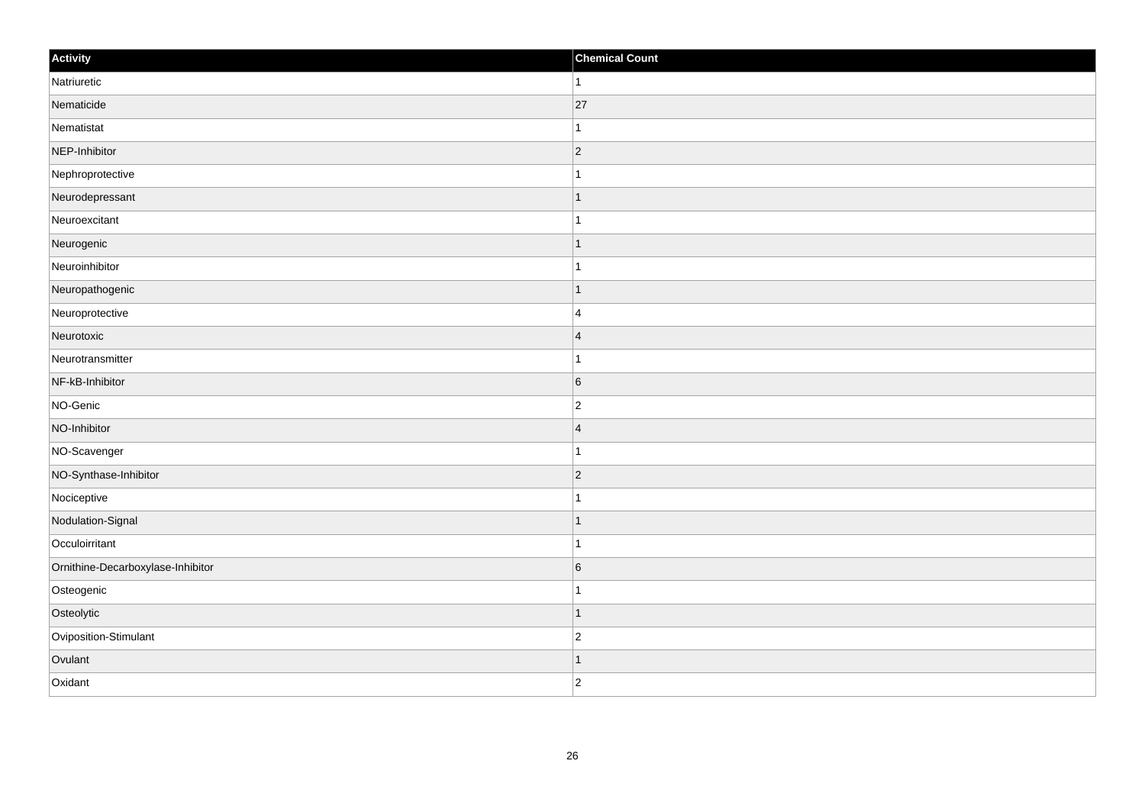| Activity                          | <b>Chemical Count</b> |
|-----------------------------------|-----------------------|
| Natriuretic                       | $\vert$ 1             |
| Nematicide                        | 27                    |
| Nematistat                        | 1                     |
| NEP-Inhibitor                     | $ 2\rangle$           |
| Nephroprotective                  | $\overline{1}$        |
| Neurodepressant                   | -1                    |
| Neuroexcitant                     | $\mathbf{1}$          |
| Neurogenic                        | $\mathbf 1$           |
| Neuroinhibitor                    |                       |
| Neuropathogenic                   | $\mathbf{1}$          |
| Neuroprotective                   | $\overline{4}$        |
| Neurotoxic                        | $\overline{4}$        |
| Neurotransmitter                  | $\overline{1}$        |
| NF-kB-Inhibitor                   | 6                     |
| NO-Genic                          | $\overline{c}$        |
| NO-Inhibitor                      | $\overline{4}$        |
| NO-Scavenger                      | 1                     |
| NO-Synthase-Inhibitor             | $ 2\rangle$           |
| Nociceptive                       | 1                     |
| Nodulation-Signal                 | $\vert$ 1             |
| Occuloirritant                    | $\mathbf{1}$          |
| Ornithine-Decarboxylase-Inhibitor | $\,$ 6 $\,$           |
| Osteogenic                        | $\overline{1}$        |
| Osteolytic                        | $\mathbf 1$           |
| Oviposition-Stimulant             | $\overline{c}$        |
| Ovulant                           | $\mathbf 1$           |
| Oxidant                           | $ 2\rangle$           |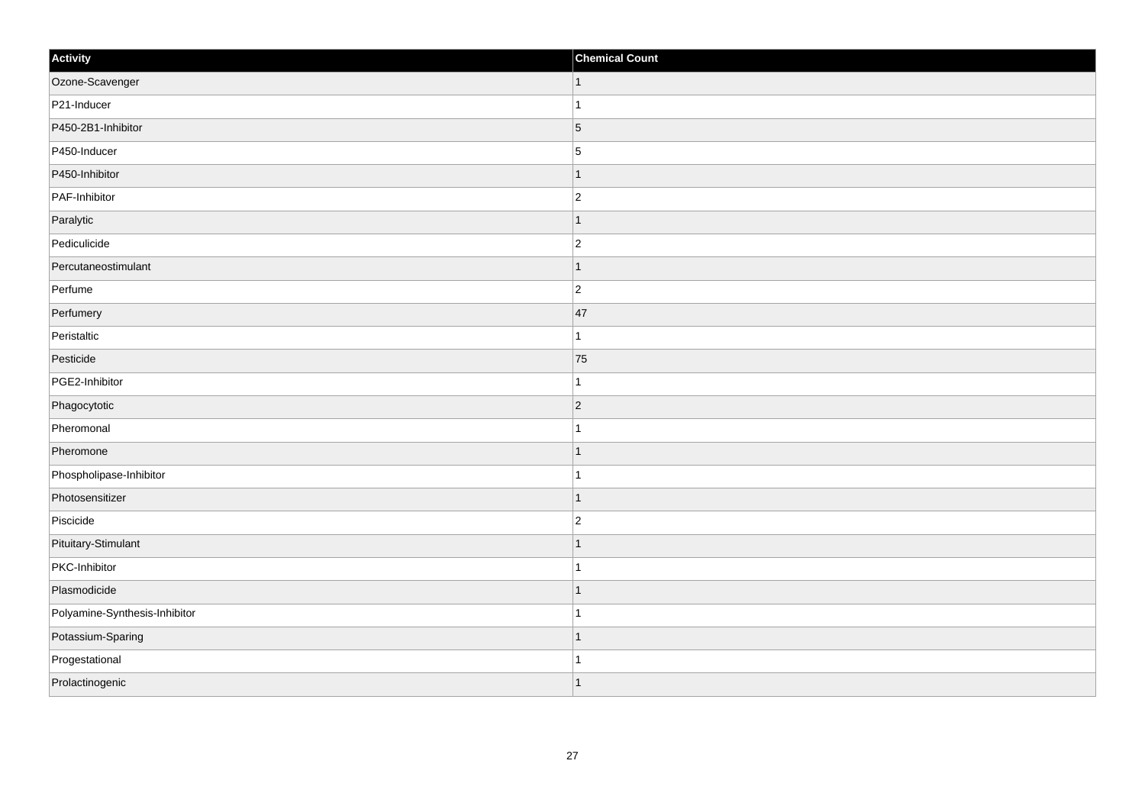| Activity                      | <b>Chemical Count</b> |
|-------------------------------|-----------------------|
| Ozone-Scavenger               | $\vert$ 1             |
| P21-Inducer                   |                       |
| P450-2B1-Inhibitor            | $\overline{5}$        |
| P450-Inducer                  | $\overline{5}$        |
| P450-Inhibitor                |                       |
| PAF-Inhibitor                 | $\overline{c}$        |
| Paralytic                     | -1                    |
| Pediculicide                  | $\overline{c}$        |
| Percutaneostimulant           |                       |
| Perfume                       | $\overline{2}$        |
| Perfumery                     | 47                    |
| Peristaltic                   |                       |
| Pesticide                     | 75                    |
| PGE2-Inhibitor                | 1                     |
| Phagocytotic                  | $\vert$ 2             |
| Pheromonal                    |                       |
| Pheromone                     |                       |
| Phospholipase-Inhibitor       |                       |
| Photosensitizer               | -1                    |
| Piscicide                     | $\overline{2}$        |
| Pituitary-Stimulant           |                       |
| PKC-Inhibitor                 |                       |
| Plasmodicide                  |                       |
| Polyamine-Synthesis-Inhibitor |                       |
| Potassium-Sparing             |                       |
| Progestational                | -1                    |
| Prolactinogenic               |                       |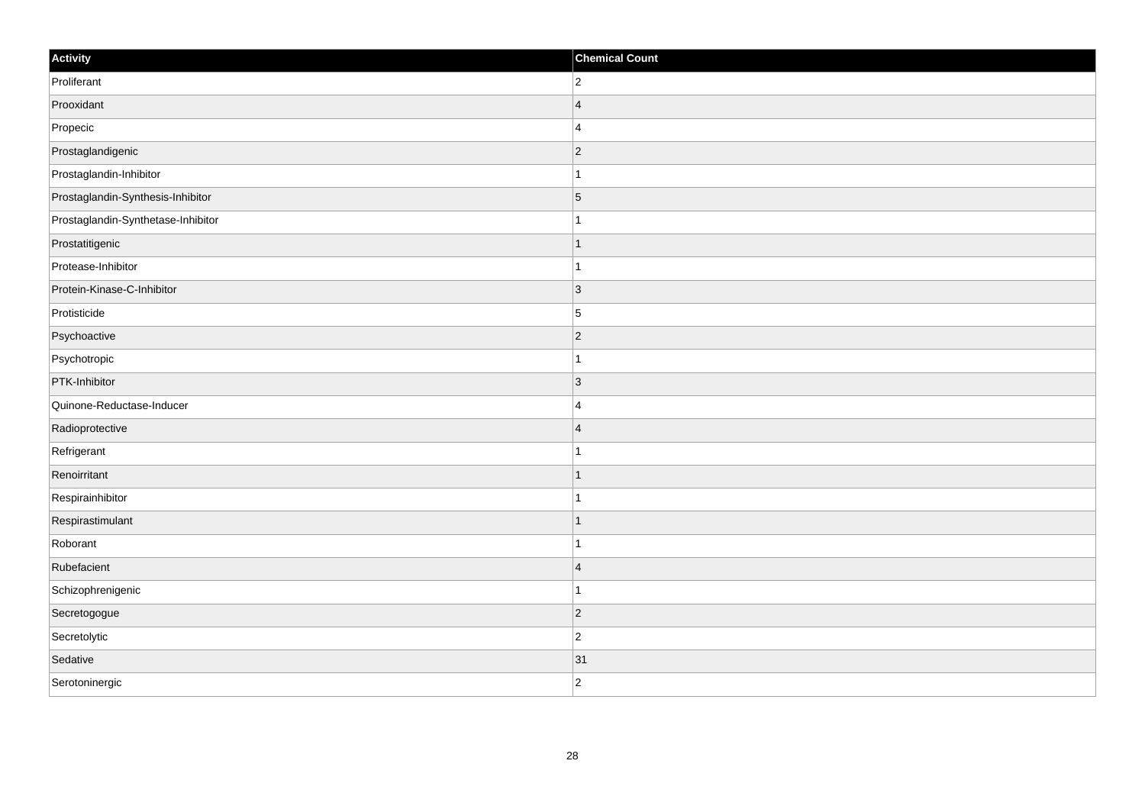| Activity                           | <b>Chemical Count</b> |
|------------------------------------|-----------------------|
| Proliferant                        | $ 2\rangle$           |
| Prooxidant                         | $\overline{4}$        |
| Propecic                           | 4                     |
| Prostaglandigenic                  | $ 2\rangle$           |
| Prostaglandin-Inhibitor            | $\mathbf{1}$          |
| Prostaglandin-Synthesis-Inhibitor  | $\overline{5}$        |
| Prostaglandin-Synthetase-Inhibitor | $\mathbf{1}$          |
| Prostatitigenic                    | $\mathbf{1}$          |
| Protease-Inhibitor                 | $\overline{1}$        |
| Protein-Kinase-C-Inhibitor         | $\vert$ 3             |
| Protisticide                       | 5                     |
| Psychoactive                       | $ 2\rangle$           |
| Psychotropic                       | $\vert$ 1             |
| PTK-Inhibitor                      | $\vert 3 \vert$       |
| Quinone-Reductase-Inducer          | 4                     |
| Radioprotective                    | $\vert 4$             |
| Refrigerant                        | $\mathbf{1}$          |
| Renoirritant                       | $\mathbf{1}$          |
| Respirainhibitor                   | $\mathbf{1}$          |
| Respirastimulant                   | $\mathbf{1}$          |
| Roborant                           | $\mathbf{1}$          |
| Rubefacient                        | $\vert 4$             |
| Schizophrenigenic                  | $\mathbf{1}$          |
| Secretogogue                       | $\overline{2}$        |
| Secretolytic                       | $ 2\rangle$           |
| Sedative                           | 31                    |
| Serotoninergic                     | $ 2\rangle$           |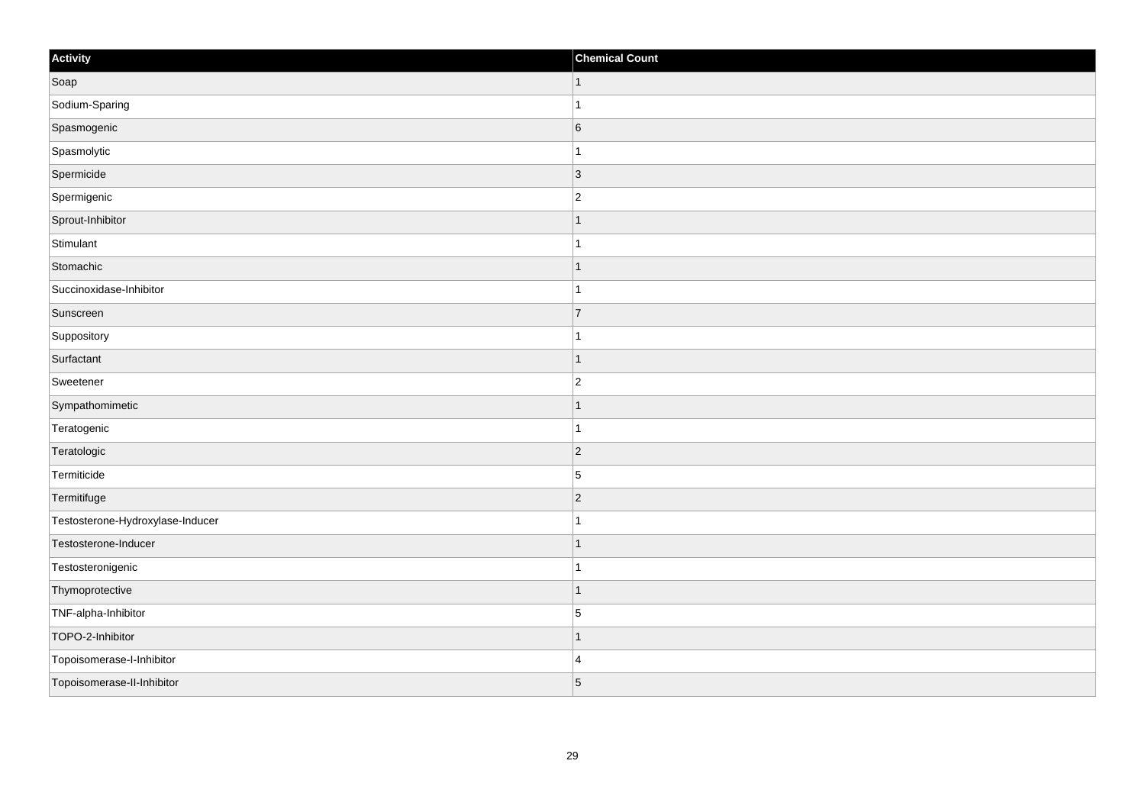| Activity                         | <b>Chemical Count</b> |
|----------------------------------|-----------------------|
| Soap                             | $\mathbf{1}$          |
| Sodium-Sparing                   | $\mathbf{1}$          |
| Spasmogenic                      | $6\overline{6}$       |
| Spasmolytic                      | $\mathbf{1}$          |
| Spermicide                       | $\vert 3 \vert$       |
| Spermigenic                      | $\vert$ 2             |
| Sprout-Inhibitor                 | $\mathbf{1}$          |
| Stimulant                        | $\mathbf{1}$          |
| Stomachic                        | $\overline{1}$        |
| Succinoxidase-Inhibitor          | $\mathbf{1}$          |
| Sunscreen                        | $\overline{7}$        |
| Suppository                      | 1                     |
| Surfactant                       | $\mathbf{1}$          |
| Sweetener                        | $\overline{2}$        |
| Sympathomimetic                  | $\overline{1}$        |
| Teratogenic                      | $\mathbf{1}$          |
| Teratologic                      | $\vert$ 2             |
| Termiticide                      | 5                     |
| Termitifuge                      | $ 2\rangle$           |
| Testosterone-Hydroxylase-Inducer | $\overline{1}$        |
| Testosterone-Inducer             | $\overline{1}$        |
| Testosteronigenic                | $\mathbf{1}$          |
| Thymoprotective                  | $\overline{1}$        |
| TNF-alpha-Inhibitor              | 5                     |
| TOPO-2-Inhibitor                 | $\mathbf{1}$          |
| Topoisomerase-I-Inhibitor        | 4                     |
| Topoisomerase-II-Inhibitor       | $\overline{5}$        |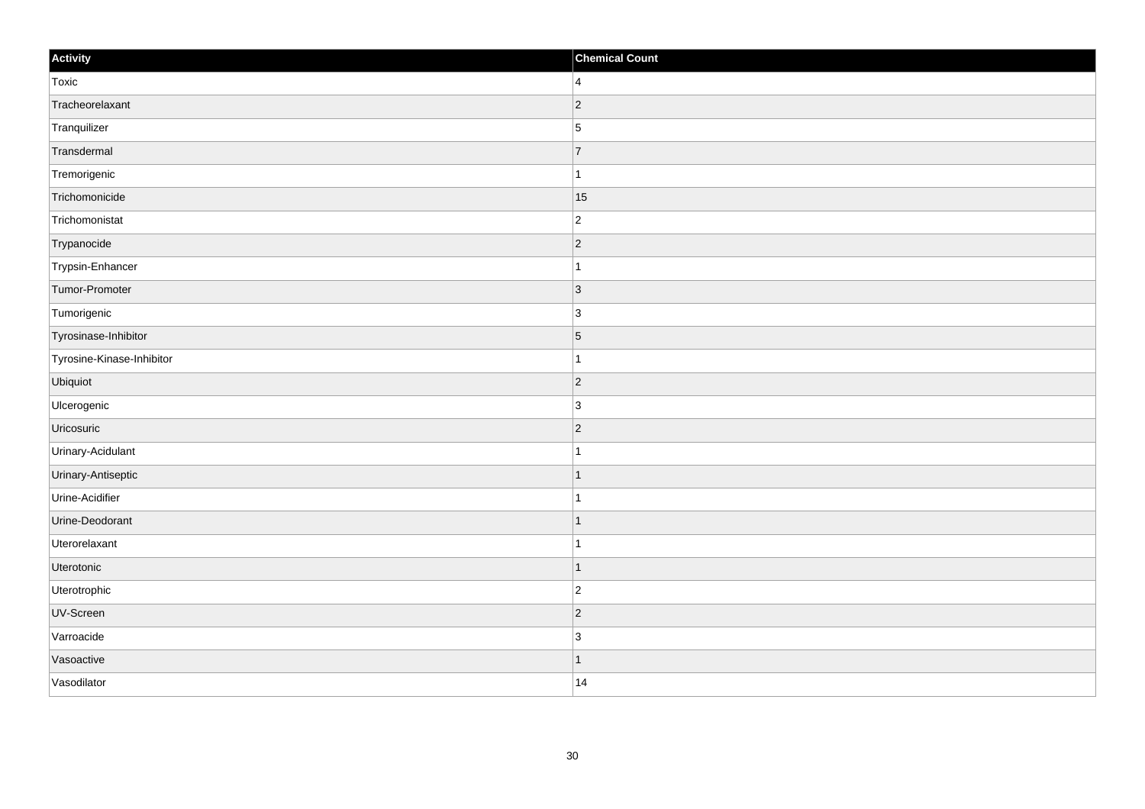| Activity                  | <b>Chemical Count</b> |
|---------------------------|-----------------------|
| Toxic                     | $\overline{4}$        |
| Tracheorelaxant           | $ 2\rangle$           |
| Tranquilizer              | $\overline{5}$        |
| Transdermal               | $\overline{7}$        |
| Tremorigenic              | $\mathbf{1}$          |
| Trichomonicide            | 15                    |
| Trichomonistat            | $\overline{c}$        |
| Trypanocide               | $\overline{2}$        |
| Trypsin-Enhancer          |                       |
| Tumor-Promoter            | 3                     |
| Tumorigenic               | $\overline{3}$        |
| Tyrosinase-Inhibitor      | $\vert 5 \vert$       |
| Tyrosine-Kinase-Inhibitor | $\mathbf{1}$          |
| Ubiquiot                  | $ 2\rangle$           |
| Ulcerogenic               | 3                     |
| Uricosuric                | $ 2\rangle$           |
| Urinary-Acidulant         | $\mathbf 1$           |
| Urinary-Antiseptic        | 1                     |
| Urine-Acidifier           | $\mathbf{1}$          |
| Urine-Deodorant           | 1                     |
| Uterorelaxant             | $\mathbf{1}$          |
| Uterotonic                | $\vert$ 1             |
| Uterotrophic              | $ 2\rangle$           |
| UV-Screen                 | $ 2\rangle$           |
| Varroacide                | $\overline{3}$        |
| Vasoactive                | 1                     |
| Vasodilator               | 14                    |